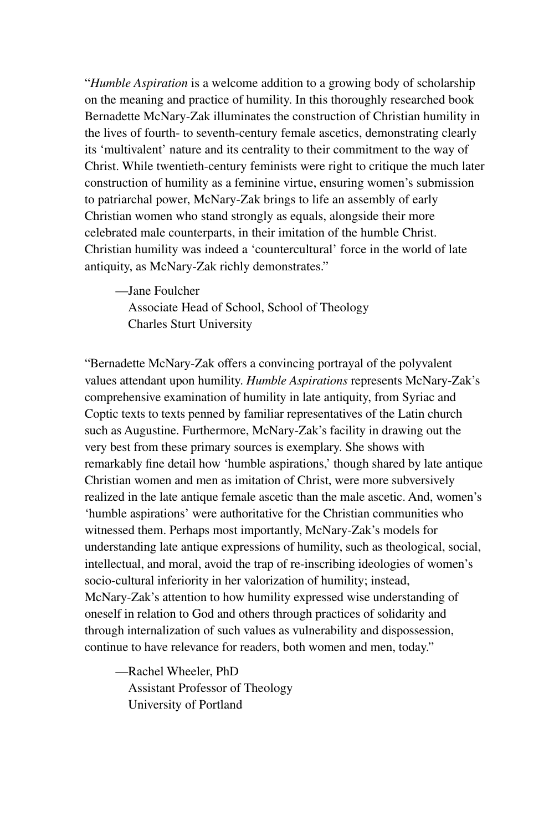"*Humble Aspiration* is a welcome addition to a growing body of scholarship on the meaning and practice of humility. In this thoroughly researched book Bernadette McNary-Zak illuminates the construction of Christian humility in the lives of fourth- to seventh-century female ascetics, demonstrating clearly its 'multivalent' nature and its centrality to their commitment to the way of Christ. While twentieth-century feminists were right to critique the much later construction of humility as a feminine virtue, ensuring women's submission to patriarchal power, McNary-Zak brings to life an assembly of early Christian women who stand strongly as equals, alongside their more celebrated male counterparts, in their imitation of the humble Christ. Christian humility was indeed a 'countercultural' force in the world of late antiquity, as McNary-Zak richly demonstrates."

—Jane Foulcher

Associate Head of School, School of Theology Charles Sturt University

"Bernadette McNary-Zak offers a convincing portrayal of the polyvalent values attendant upon humility. *Humble Aspirations* represents McNary-Zak's comprehensive examination of humility in late antiquity, from Syriac and Coptic texts to texts penned by familiar representatives of the Latin church such as Augustine. Furthermore, McNary-Zak's facility in drawing out the very best from these primary sources is exemplary. She shows with remarkably fine detail how 'humble aspirations,' though shared by late antique Christian women and men as imitation of Christ, were more subversively realized in the late antique female ascetic than the male ascetic. And, women's 'humble aspirations' were authoritative for the Christian communities who witnessed them. Perhaps most importantly, McNary-Zak's models for understanding late antique expressions of humility, such as theological, social, intellectual, and moral, avoid the trap of re-inscribing ideologies of women's socio-cultural inferiority in her valorization of humility; instead, McNary-Zak's attention to how humility expressed wise understanding of oneself in relation to God and others through practices of solidarity and through internalization of such values as vulnerability and dispossession, continue to have relevance for readers, both women and men, today."

—Rachel Wheeler, PhD Assistant Professor of Theology University of Portland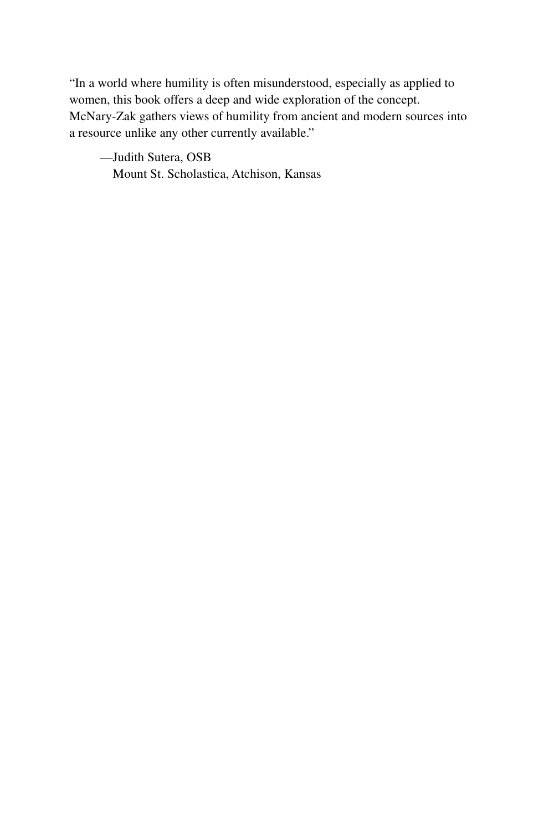"In a world where humility is often misunderstood, especially as applied to women, this book offers a deep and wide exploration of the concept. McNary-Zak gathers views of humility from ancient and modern sources into a resource unlike any other currently available."

—Judith Sutera, OSB Mount St. Scholastica, Atchison, Kansas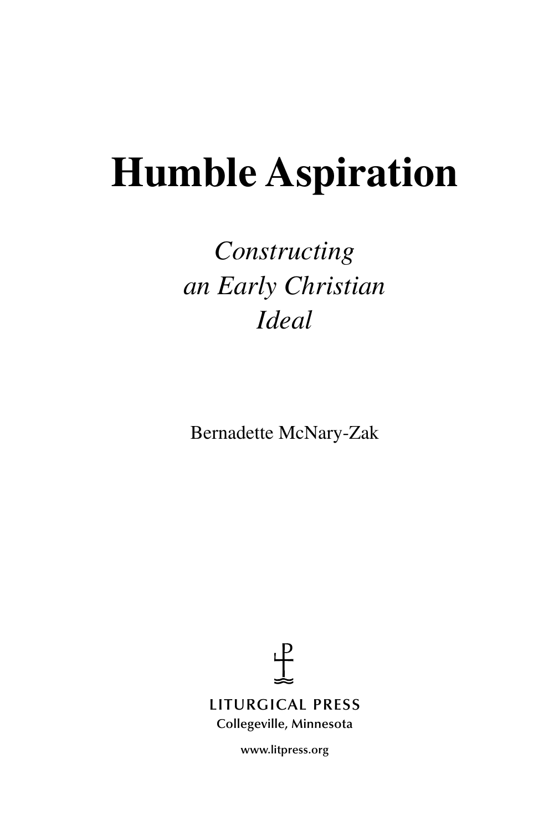# **Humble Aspiration**

## *Constructing an Early Christian Ideal*

Bernadette McNary-Zak

 $\ddagger$ **LITURGICAL PRESS**

**Collegeville, Minnesota**

**www.litpress.org**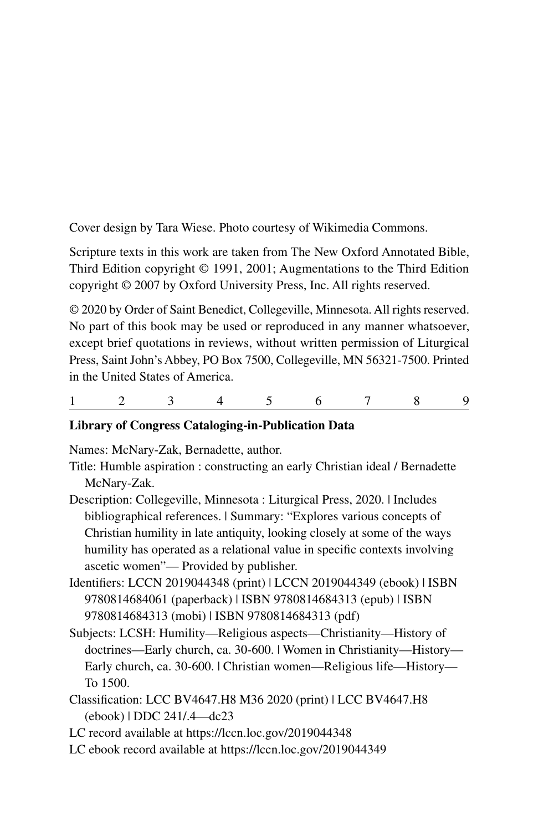Cover design by Tara Wiese. Photo courtesy of Wikimedia Commons.

Scripture texts in this work are taken from The New Oxford Annotated Bible, Third Edition copyright © 1991, 2001; Augmentations to the Third Edition copyright © 2007 by Oxford University Press, Inc. All rights reserved.

© 2020 by Order of Saint Benedict, Collegeville, Minnesota. All rights reserved. No part of this book may be used or reproduced in any manner whatsoever, except brief quotations in reviews, without written permission of Liturgical Press, Saint John's Abbey, PO Box 7500, Collegeville, MN 56321-7500. Printed in the United States of America.

```
123456789
```
#### **Library of Congress Cataloging-in-Publication Data**

Names: McNary-Zak, Bernadette, author.

- Title: Humble aspiration : constructing an early Christian ideal / Bernadette McNary-Zak.
- Description: Collegeville, Minnesota : Liturgical Press, 2020. | Includes bibliographical references. | Summary: "Explores various concepts of Christian humility in late antiquity, looking closely at some of the ways humility has operated as a relational value in specific contexts involving ascetic women"— Provided by publisher.
- Identifiers: LCCN 2019044348 (print) | LCCN 2019044349 (ebook) | ISBN 9780814684061 (paperback) | ISBN 9780814684313 (epub) | ISBN 9780814684313 (mobi) | ISBN 9780814684313 (pdf)
- Subjects: LCSH: Humility—Religious aspects—Christianity—History of doctrines—Early church, ca. 30-600. | Women in Christianity—History— Early church, ca. 30-600. | Christian women—Religious life—History— To 1500.
- Classification: LCC BV4647.H8 M36 2020 (print) | LCC BV4647.H8 (ebook) | DDC 241/.4—dc23
- LC record available at https://lccn.loc.gov/2019044348
- LC ebook record available at https://lccn.loc.gov/2019044349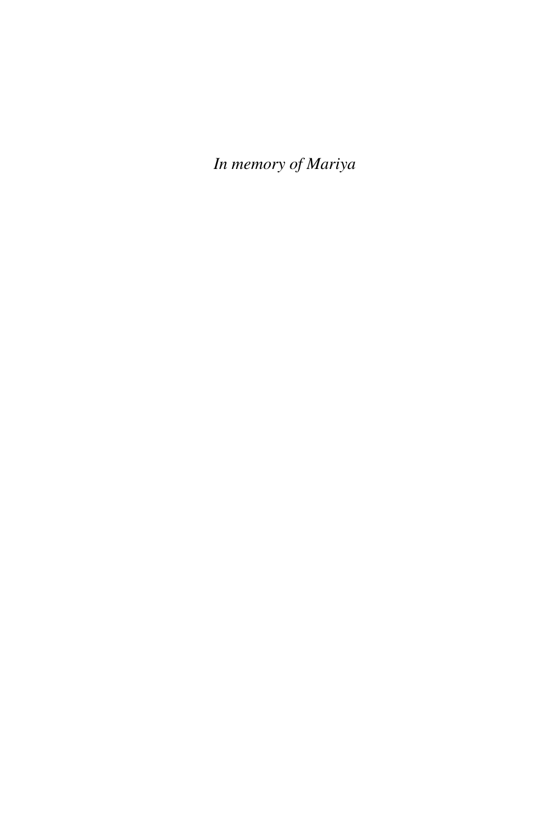*In memory of Mariya*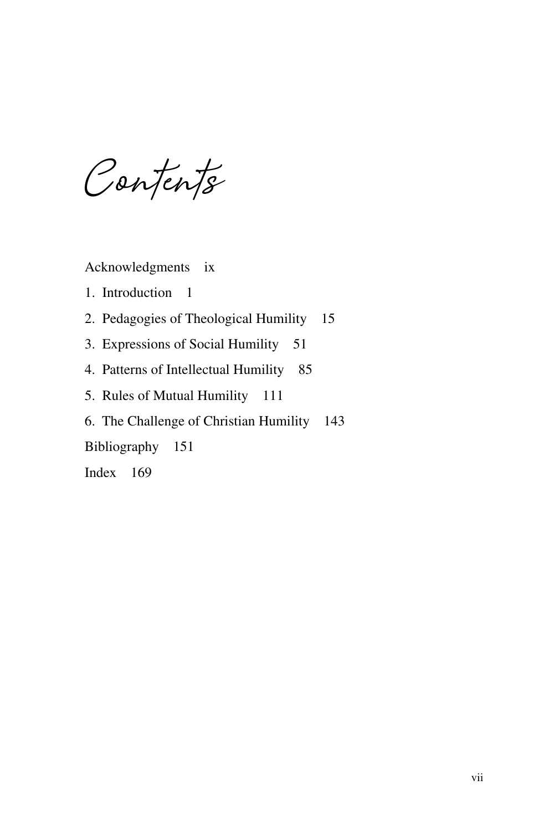**Contents**

Acknowledgments ix

1. Introduction 1

- 2. Pedagogies of Theological Humility 15
- 3. Expressions of Social Humility 51
- 4. Patterns of Intellectual Humility 85
- 5. Rules of Mutual Humility 111
- 6. The Challenge of Christian Humility 143

Bibliography 151

Index 169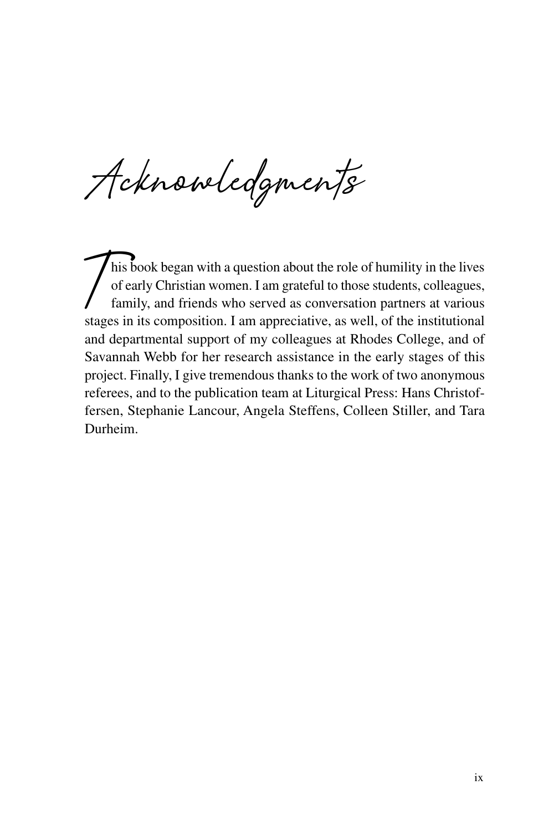**Acknowledgments**

This book began with a question about the role of humility in the lives<br>of early Christian women. I am grateful to those students, colleagues,<br>family, and friends who served as conversation partners at various of early Christian women. I am grateful to those students, colleagues, family, and friends who served as conversation partners at various stages in its composition. I am appreciative, as well, of the institutional and departmental support of my colleagues at Rhodes College, and of Savannah Webb for her research assistance in the early stages of this project. Finally, I give tremendous thanks to the work of two anonymous referees, and to the publication team at Liturgical Press: Hans Christoffersen, Stephanie Lancour, Angela Steffens, Colleen Stiller, and Tara Durheim.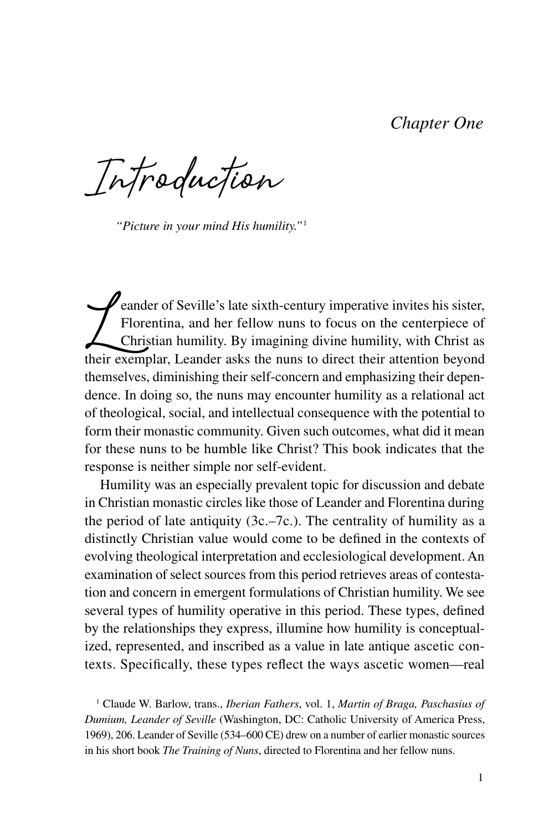## *Chapter One*

**Introduction**

*"Picture in your mind His humility."*<sup>1</sup>

eander of Seville's late sixth-century imperative invites his sister,<br>Florentina, and her fellow nuns to focus on the centerpiece of<br>Christian humility. By imagining divine humility, with Christ as<br>their exemplar, Leander Florentina, and her fellow nuns to focus on the centerpiece of Christian humility. By imagining divine humility, with Christ as their exemplar, Leander asks the nuns to direct their attention beyond themselves, diminishing their self-concern and emphasizing their dependence. In doing so, the nuns may encounter humility as a relational act of theological, social, and intellectual consequence with the potential to form their monastic community. Given such outcomes, what did it mean for these nuns to be humble like Christ? This book indicates that the response is neither simple nor self-evident.

Humility was an especially prevalent topic for discussion and debate in Christian monastic circles like those of Leander and Florentina during the period of late antiquity  $(3c, -7c)$ . The centrality of humility as a distinctly Christian value would come to be defined in the contexts of evolving theological interpretation and ecclesiological development. An examination of select sources from this period retrieves areas of contestation and concern in emergent formulations of Christian humility. We see several types of humility operative in this period. These types, defined by the relationships they express, illumine how humility is conceptualized, represented, and inscribed as a value in late antique ascetic contexts. Specifically, these types reflect the ways ascetic women—real

1 Claude W. Barlow, trans., *Iberian Fathers*, vol. 1, *Martin of Braga, Paschasius of Dumium, Leander of Seville* (Washington, DC: Catholic University of America Press, 1969), 206. Leander of Seville (534–600 CE) drew on a number of earlier monastic sources in his short book *The Training of Nuns*, directed to Florentina and her fellow nuns.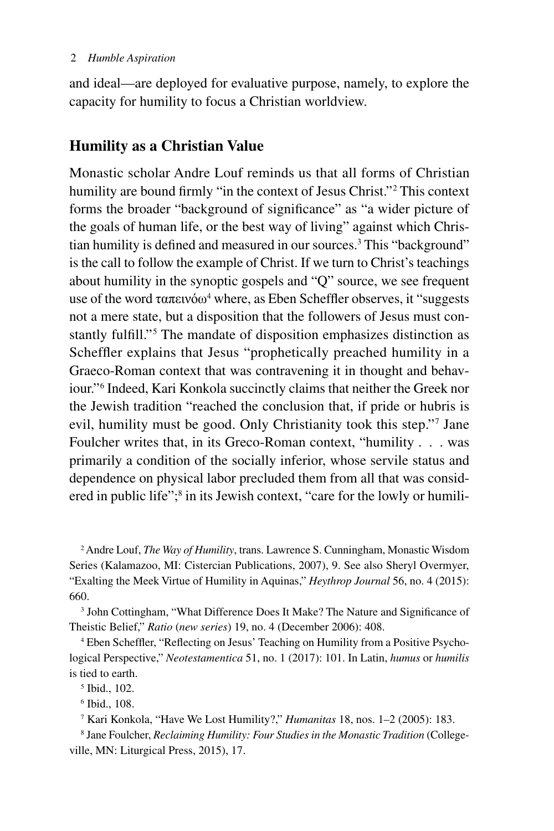and ideal—are deployed for evaluative purpose, namely, to explore the capacity for humility to focus a Christian worldview.

## **Humility as a Christian Value**

Monastic scholar Andre Louf reminds us that all forms of Christian humility are bound firmly "in the context of Jesus Christ."<sup>2</sup> This context forms the broader "background of significance" as "a wider picture of the goals of human life, or the best way of living" against which Christian humility is defined and measured in our sources.3 This "background" is the call to follow the example of Christ. If we turn to Christ's teachings about humility in the synoptic gospels and "Q" source, we see frequent use of the word ταπεινόω<sup>4</sup> where, as Eben Scheffler observes, it "suggests not a mere state, but a disposition that the followers of Jesus must constantly fulfill."5 The mandate of disposition emphasizes distinction as Scheffler explains that Jesus "prophetically preached humility in a Graeco-Roman context that was contravening it in thought and behaviour."6 Indeed, Kari Konkola succinctly claims that neither the Greek nor the Jewish tradition "reached the conclusion that, if pride or hubris is evil, humility must be good. Only Christianity took this step."7 Jane Foulcher writes that, in its Greco-Roman context, "humility . . . was primarily a condition of the socially inferior, whose servile status and dependence on physical labor precluded them from all that was considered in public life";<sup>8</sup> in its Jewish context, "care for the lowly or humili-

2 Andre Louf, *The Way of Humility*, trans. Lawrence S. Cunningham, Monastic Wisdom Series (Kalamazoo, MI: Cistercian Publications, 2007), 9. See also Sheryl Overmyer, "Exalting the Meek Virtue of Humility in Aquinas," *Heythrop Journal* 56, no. 4 (2015): 660.

<sup>3</sup> John Cottingham, "What Difference Does It Make? The Nature and Significance of Theistic Belief," *Ratio* (*new series*) 19, no. 4 (December 2006): 408.

4 Eben Scheffler, "Reflecting on Jesus' Teaching on Humility from a Positive Psychological Perspective," *Neotestamentica* 51, no. 1 (2017): 101. In Latin, *humus* or *humilis* is tied to earth.

5 Ibid., 102.

6 Ibid., 108.

7 Kari Konkola, "Have We Lost Humility?," *Humanitas* 18, nos. 1–2 (2005): 183.

8 Jane Foulcher, *Reclaiming Humility: Four Studies in the Monastic Tradition* (Collegeville, MN: Liturgical Press, 2015), 17.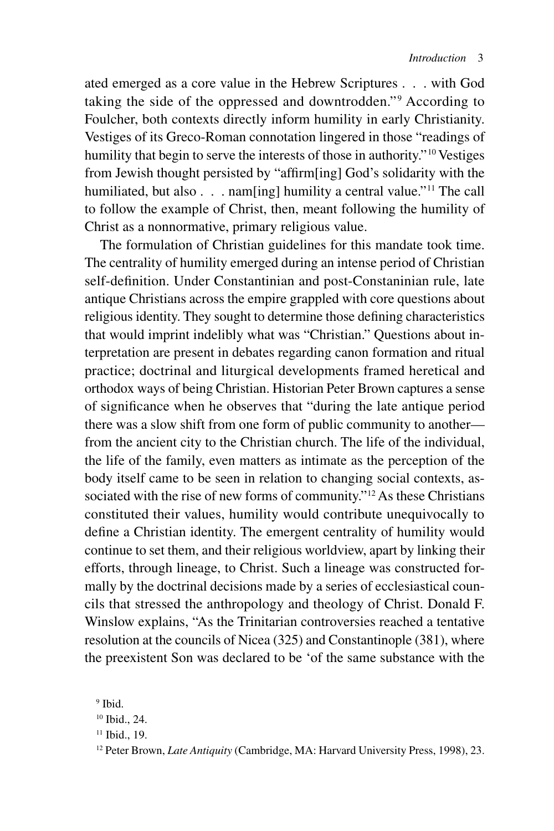ated emerged as a core value in the Hebrew Scriptures . . . with God taking the side of the oppressed and downtrodden."<sup>9</sup> According to Foulcher, both contexts directly inform humility in early Christianity. Vestiges of its Greco-Roman connotation lingered in those "readings of humility that begin to serve the interests of those in authority."<sup>10</sup> Vestiges from Jewish thought persisted by "affirm[ing] God's solidarity with the humiliated, but also . . . nam[ing] humility a central value."<sup>11</sup> The call to follow the example of Christ, then, meant following the humility of Christ as a nonnormative, primary religious value.

The formulation of Christian guidelines for this mandate took time. The centrality of humility emerged during an intense period of Christian self-definition. Under Constantinian and post-Constaninian rule, late antique Christians across the empire grappled with core questions about religious identity. They sought to determine those defining characteristics that would imprint indelibly what was "Christian." Questions about interpretation are present in debates regarding canon formation and ritual practice; doctrinal and liturgical developments framed heretical and orthodox ways of being Christian. Historian Peter Brown captures a sense of significance when he observes that "during the late antique period there was a slow shift from one form of public community to another from the ancient city to the Christian church. The life of the individual, the life of the family, even matters as intimate as the perception of the body itself came to be seen in relation to changing social contexts, associated with the rise of new forms of community."<sup>12</sup> As these Christians constituted their values, humility would contribute unequivocally to define a Christian identity. The emergent centrality of humility would continue to set them, and their religious worldview, apart by linking their efforts, through lineage, to Christ. Such a lineage was constructed formally by the doctrinal decisions made by a series of ecclesiastical councils that stressed the anthropology and theology of Christ. Donald F. Winslow explains, "As the Trinitarian controversies reached a tentative resolution at the councils of Nicea (325) and Constantinople (381), where the preexistent Son was declared to be 'of the same substance with the

<sup>9</sup> Ibid.

<sup>10</sup> Ibid., 24.

<sup>&</sup>lt;sup>11</sup> Ibid., 19.

<sup>12</sup> Peter Brown, *Late Antiquity* (Cambridge, MA: Harvard University Press, 1998), 23.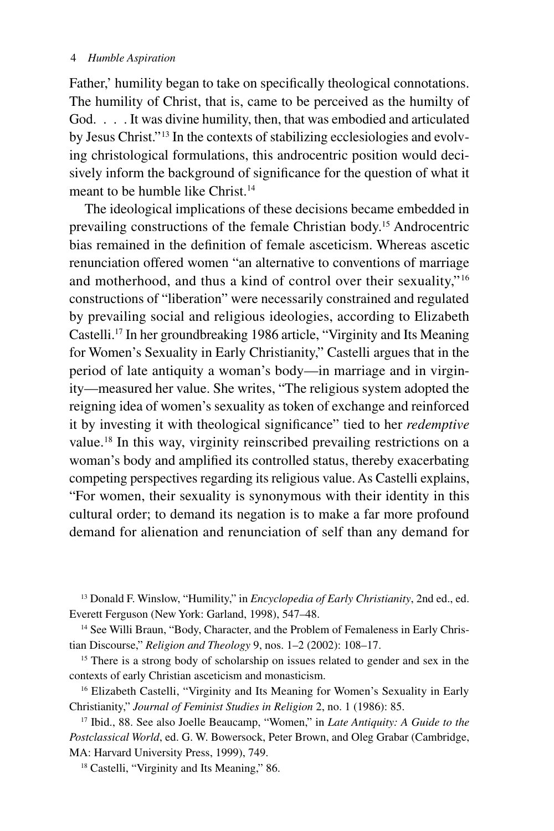#### 4 *Humble Aspiration*

Father,' humility began to take on specifically theological connotations. The humility of Christ, that is, came to be perceived as the humilty of God. . . . It was divine humility, then, that was embodied and articulated by Jesus Christ."13 In the contexts of stabilizing ecclesiologies and evolving christological formulations, this androcentric position would decisively inform the background of significance for the question of what it meant to be humble like Christ.<sup>14</sup>

The ideological implications of these decisions became embedded in prevailing constructions of the female Christian body.15 Androcentric bias remained in the definition of female asceticism. Whereas ascetic renunciation offered women "an alternative to conventions of marriage and motherhood, and thus a kind of control over their sexuality,"16 constructions of "liberation" were necessarily constrained and regulated by prevailing social and religious ideologies, according to Elizabeth Castelli.17 In her groundbreaking 1986 article, "Virginity and Its Meaning for Women's Sexuality in Early Christianity," Castelli argues that in the period of late antiquity a woman's body—in marriage and in virginity—measured her value. She writes, "The religious system adopted the reigning idea of women's sexuality as token of exchange and reinforced it by investing it with theological significance" tied to her *redemptive* value.18 In this way, virginity reinscribed prevailing restrictions on a woman's body and amplified its controlled status, thereby exacerbating competing perspectives regarding its religious value. As Castelli explains, "For women, their sexuality is synonymous with their identity in this cultural order; to demand its negation is to make a far more profound demand for alienation and renunciation of self than any demand for

13 Donald F. Winslow, "Humility," in *Encyclopedia of Early Christianity*, 2nd ed., ed. Everett Ferguson (New York: Garland, 1998), 547–48.

<sup>14</sup> See Willi Braun, "Body, Character, and the Problem of Femaleness in Early Christian Discourse," *Religion and Theology* 9, nos. 1–2 (2002): 108–17.

<sup>15</sup> There is a strong body of scholarship on issues related to gender and sex in the contexts of early Christian asceticism and monasticism.

<sup>16</sup> Elizabeth Castelli, "Virginity and Its Meaning for Women's Sexuality in Early Christianity," *Journal of Feminist Studies in Religion* 2, no. 1 (1986): 85.

17 Ibid., 88. See also Joelle Beaucamp, "Women," in *Late Antiquity: A Guide to the Postclassical World*, ed. G. W. Bowersock, Peter Brown, and Oleg Grabar (Cambridge, MA: Harvard University Press, 1999), 749.

<sup>18</sup> Castelli, "Virginity and Its Meaning," 86.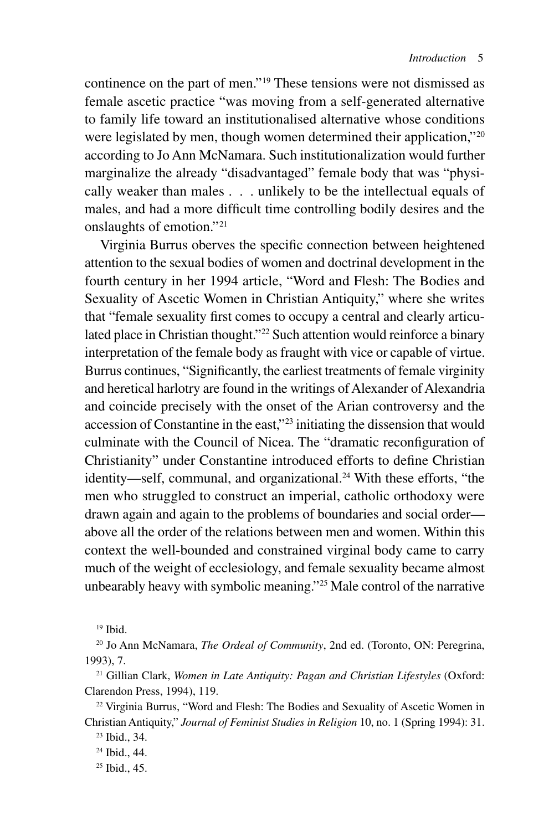continence on the part of men."19 These tensions were not dismissed as female ascetic practice "was moving from a self-generated alternative to family life toward an institutionalised alternative whose conditions were legislated by men, though women determined their application,"<sup>20</sup> according to Jo Ann McNamara. Such institutionalization would further marginalize the already "disadvantaged" female body that was "physically weaker than males . . . unlikely to be the intellectual equals of males, and had a more difficult time controlling bodily desires and the onslaughts of emotion."21

Virginia Burrus oberves the specific connection between heightened attention to the sexual bodies of women and doctrinal development in the fourth century in her 1994 article, "Word and Flesh: The Bodies and Sexuality of Ascetic Women in Christian Antiquity," where she writes that "female sexuality first comes to occupy a central and clearly articulated place in Christian thought."<sup>22</sup> Such attention would reinforce a binary interpretation of the female body as fraught with vice or capable of virtue. Burrus continues, "Significantly, the earliest treatments of female virginity and heretical harlotry are found in the writings of Alexander of Alexandria and coincide precisely with the onset of the Arian controversy and the accession of Constantine in the east,"23 initiating the dissension that would culminate with the Council of Nicea. The "dramatic reconfiguration of Christianity" under Constantine introduced efforts to define Christian identity—self, communal, and organizational.<sup>24</sup> With these efforts, "the men who struggled to construct an imperial, catholic orthodoxy were drawn again and again to the problems of boundaries and social order above all the order of the relations between men and women. Within this context the well-bounded and constrained virginal body came to carry much of the weight of ecclesiology, and female sexuality became almost unbearably heavy with symbolic meaning."25 Male control of the narrative

<sup>19</sup> Ibid.

<sup>20</sup> Jo Ann McNamara, *The Ordeal of Community*, 2nd ed. (Toronto, ON: Peregrina, 1993), 7.

<sup>21</sup> Gillian Clark, *Women in Late Antiquity: Pagan and Christian Lifestyles* (Oxford: Clarendon Press, 1994), 119.

 $22$  Virginia Burrus, "Word and Flesh: The Bodies and Sexuality of Ascetic Women in Christian Antiquity," *Journal of Feminist Studies in Religion* 10, no. 1 (Spring 1994): 31.

<sup>23</sup> Ibid., 34.

<sup>24</sup> Ibid., 44.

<sup>&</sup>lt;sup>25</sup> Ibid., 45.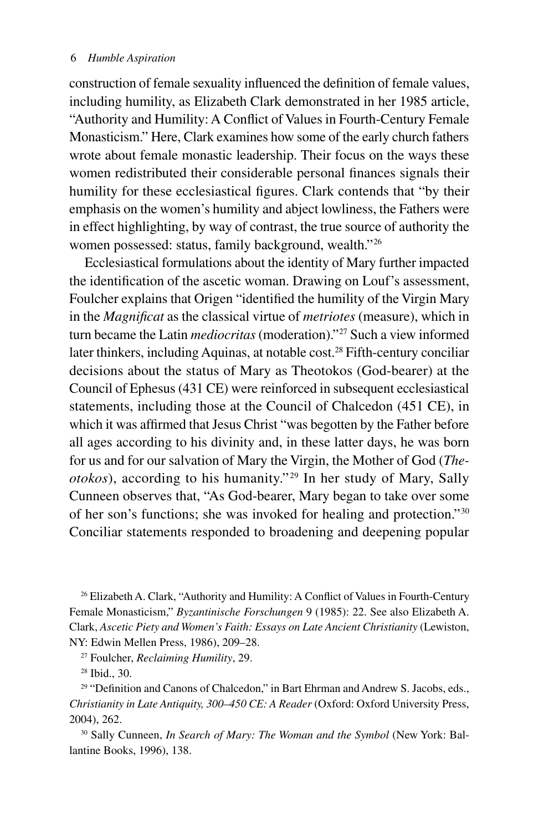#### 6 *Humble Aspiration*

construction of female sexuality influenced the definition of female values, including humility, as Elizabeth Clark demonstrated in her 1985 article, "Authority and Humility: A Conflict of Values in Fourth-Century Female Monasticism." Here, Clark examines how some of the early church fathers wrote about female monastic leadership. Their focus on the ways these women redistributed their considerable personal finances signals their humility for these ecclesiastical figures. Clark contends that "by their emphasis on the women's humility and abject lowliness, the Fathers were in effect highlighting, by way of contrast, the true source of authority the women possessed: status, family background, wealth."26

Ecclesiastical formulations about the identity of Mary further impacted the identification of the ascetic woman. Drawing on Louf's assessment, Foulcher explains that Origen "identified the humility of the Virgin Mary in the *Magnificat* as the classical virtue of *metriotes* (measure), which in turn became the Latin *mediocritas* (moderation)."27 Such a view informed later thinkers, including Aquinas, at notable cost.<sup>28</sup> Fifth-century conciliar decisions about the status of Mary as Theotokos (God-bearer) at the Council of Ephesus (431 CE) were reinforced in subsequent ecclesiastical statements, including those at the Council of Chalcedon (451 CE), in which it was affirmed that Jesus Christ "was begotten by the Father before all ages according to his divinity and, in these latter days, he was born for us and for our salvation of Mary the Virgin, the Mother of God (*Theotokos*), according to his humanity."<sup>29</sup> In her study of Mary, Sally Cunneen observes that, "As God-bearer, Mary began to take over some of her son's functions; she was invoked for healing and protection."30 Conciliar statements responded to broadening and deepening popular

<sup>26</sup> Elizabeth A. Clark, "Authority and Humility: A Conflict of Values in Fourth-Century Female Monasticism," *Byzantinische Forschungen* 9 (1985): 22. See also Elizabeth A. Clark, *Ascetic Piety and Women's Faith: Essays on Late Ancient Christianity* (Lewiston, NY: Edwin Mellen Press, 1986), 209–28.

27 Foulcher, *Reclaiming Humility*, 29.

28 Ibid., 30.

<sup>29</sup> "Definition and Canons of Chalcedon," in Bart Ehrman and Andrew S. Jacobs, eds., *Christianity in Late Antiquity, 300–450 CE: A Reader* (Oxford: Oxford University Press, 2004), 262.

30 Sally Cunneen, *In Search of Mary: The Woman and the Symbol* (New York: Ballantine Books, 1996), 138.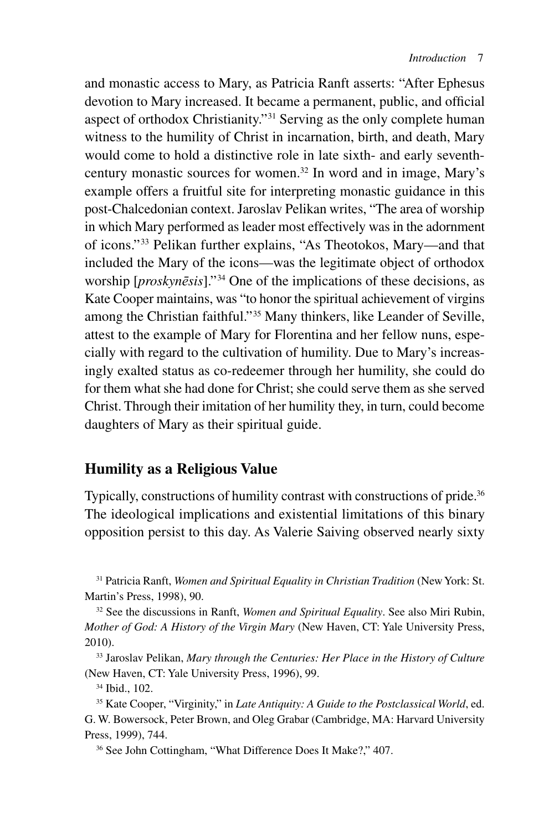and monastic access to Mary, as Patricia Ranft asserts: "After Ephesus devotion to Mary increased. It became a permanent, public, and official aspect of orthodox Christianity."31 Serving as the only complete human witness to the humility of Christ in incarnation, birth, and death, Mary would come to hold a distinctive role in late sixth- and early seventhcentury monastic sources for women.32 In word and in image, Mary's example offers a fruitful site for interpreting monastic guidance in this post-Chalcedonian context. Jaroslav Pelikan writes, "The area of worship in which Mary performed as leader most effectively was in the adornment of icons."33 Pelikan further explains, "As Theotokos, Mary—and that included the Mary of the icons—was the legitimate object of orthodox worship [*proskynēsis*]."34 One of the implications of these decisions, as Kate Cooper maintains, was "to honor the spiritual achievement of virgins among the Christian faithful."35 Many thinkers, like Leander of Seville, attest to the example of Mary for Florentina and her fellow nuns, especially with regard to the cultivation of humility. Due to Mary's increasingly exalted status as co-redeemer through her humility, she could do for them what she had done for Christ; she could serve them as she served Christ. Through their imitation of her humility they, in turn, could become daughters of Mary as their spiritual guide.

## **Humility as a Religious Value**

Typically, constructions of humility contrast with constructions of pride.<sup>36</sup> The ideological implications and existential limitations of this binary opposition persist to this day. As Valerie Saiving observed nearly sixty

31 Patricia Ranft, *Women and Spiritual Equality in Christian Tradition* (New York: St. Martin's Press, 1998), 90.

33 Jaroslav Pelikan, *Mary through the Centuries: Her Place in the History of Culture* (New Haven, CT: Yale University Press, 1996), 99.

34 Ibid., 102.

<sup>32</sup> See the discussions in Ranft, *Women and Spiritual Equality*. See also Miri Rubin, *Mother of God: A History of the Virgin Mary* (New Haven, CT: Yale University Press, 2010).

<sup>35</sup> Kate Cooper, "Virginity," in *Late Antiquity: A Guide to the Postclassical World*, ed. G. W. Bowersock, Peter Brown, and Oleg Grabar (Cambridge, MA: Harvard University Press, 1999), 744.

<sup>36</sup> See John Cottingham, "What Difference Does It Make?," 407.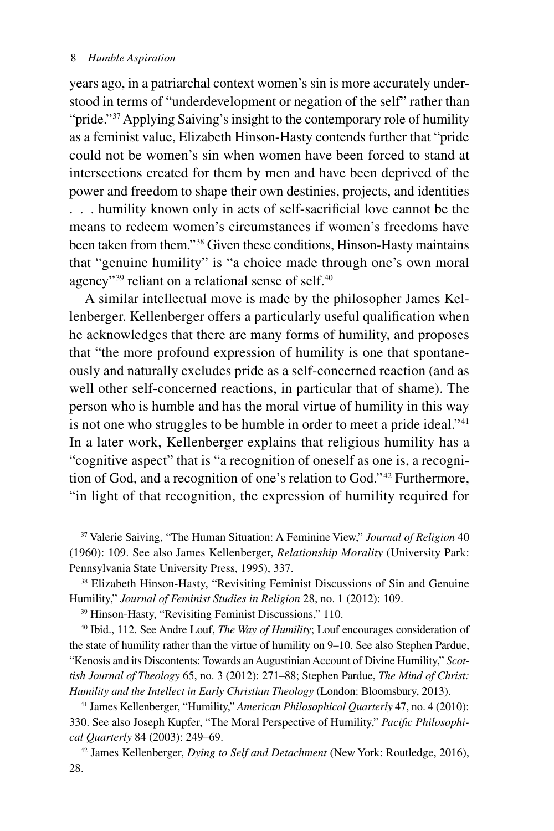years ago, in a patriarchal context women's sin is more accurately understood in terms of "underdevelopment or negation of the self" rather than "pride."<sup>37</sup> Applying Saiving's insight to the contemporary role of humility as a feminist value, Elizabeth Hinson-Hasty contends further that "pride could not be women's sin when women have been forced to stand at intersections created for them by men and have been deprived of the power and freedom to shape their own destinies, projects, and identities . . . humility known only in acts of self-sacrificial love cannot be the means to redeem women's circumstances if women's freedoms have been taken from them."38 Given these conditions, Hinson-Hasty maintains that "genuine humility" is "a choice made through one's own moral agency"<sup>39</sup> reliant on a relational sense of self.<sup>40</sup>

A similar intellectual move is made by the philosopher James Kellenberger. Kellenberger offers a particularly useful qualification when he acknowledges that there are many forms of humility, and proposes that "the more profound expression of humility is one that spontaneously and naturally excludes pride as a self-concerned reaction (and as well other self-concerned reactions, in particular that of shame). The person who is humble and has the moral virtue of humility in this way is not one who struggles to be humble in order to meet a pride ideal."<sup>41</sup> In a later work, Kellenberger explains that religious humility has a "cognitive aspect" that is "a recognition of oneself as one is, a recognition of God, and a recognition of one's relation to God." 42 Furthermore, "in light of that recognition, the expression of humility required for

37 Valerie Saiving, "The Human Situation: A Feminine View," *Journal of Religion* 40 (1960): 109. See also James Kellenberger, *Relationship Morality* (University Park: Pennsylvania State University Press, 1995), 337.

38 Elizabeth Hinson-Hasty, "Revisiting Feminist Discussions of Sin and Genuine Humility," *Journal of Feminist Studies in Religion* 28, no. 1 (2012): 109.

39 Hinson-Hasty, "Revisiting Feminist Discussions," 110.

40 Ibid., 112. See Andre Louf, *The Way of Humility*; Louf encourages consideration of the state of humility rather than the virtue of humility on 9–10. See also Stephen Pardue, "Kenosis and its Discontents: Towards an Augustinian Account of Divine Humility," *Scottish Journal of Theology* 65, no. 3 (2012): 271–88; Stephen Pardue, *The Mind of Christ: Humility and the Intellect in Early Christian Theology* (London: Bloomsbury, 2013).

41 James Kellenberger, "Humility," *American Philosophical Quarterly* 47, no. 4 (2010): 330. See also Joseph Kupfer, "The Moral Perspective of Humility," *Pacific Philosophical Quarterly* 84 (2003): 249–69.

42 James Kellenberger, *Dying to Self and Detachment* (New York: Routledge, 2016), 28.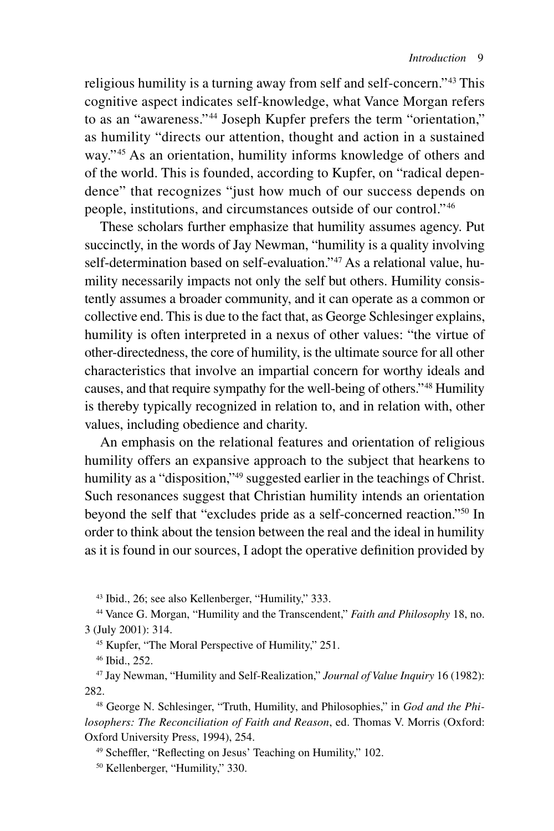religious humility is a turning away from self and self-concern."43 This cognitive aspect indicates self-knowledge, what Vance Morgan refers to as an "awareness."44 Joseph Kupfer prefers the term "orientation," as humility "directs our attention, thought and action in a sustained way."<sup>45</sup> As an orientation, humility informs knowledge of others and of the world. This is founded, according to Kupfer, on "radical dependence" that recognizes "just how much of our success depends on people, institutions, and circumstances outside of our control."46

These scholars further emphasize that humility assumes agency. Put succinctly, in the words of Jay Newman, "humility is a quality involving self-determination based on self-evaluation."<sup>47</sup> As a relational value, humility necessarily impacts not only the self but others. Humility consistently assumes a broader community, and it can operate as a common or collective end. This is due to the fact that, as George Schlesinger explains, humility is often interpreted in a nexus of other values: "the virtue of other-directedness, the core of humility, is the ultimate source for all other characteristics that involve an impartial concern for worthy ideals and causes, and that require sympathy for the well-being of others."48 Humility is thereby typically recognized in relation to, and in relation with, other values, including obedience and charity.

An emphasis on the relational features and orientation of religious humility offers an expansive approach to the subject that hearkens to humility as a "disposition,"<sup>49</sup> suggested earlier in the teachings of Christ. Such resonances suggest that Christian humility intends an orientation beyond the self that "excludes pride as a self-concerned reaction."50 In order to think about the tension between the real and the ideal in humility as it is found in our sources, I adopt the operative definition provided by

43 Ibid., 26; see also Kellenberger, "Humility," 333.

44 Vance G. Morgan, "Humility and the Transcendent," *Faith and Philosophy* 18, no. 3 (July 2001): 314.

45 Kupfer, "The Moral Perspective of Humility," 251.

46 Ibid., 252.

47 Jay Newman, "Humility and Self-Realization," *Journal of Value Inquiry* 16 (1982): 282.

48 George N. Schlesinger, "Truth, Humility, and Philosophies," in *God and the Philosophers: The Reconciliation of Faith and Reason*, ed. Thomas V. Morris (Oxford: Oxford University Press, 1994), 254.

49 Scheffler, "Reflecting on Jesus' Teaching on Humility," 102.

50 Kellenberger, "Humility," 330.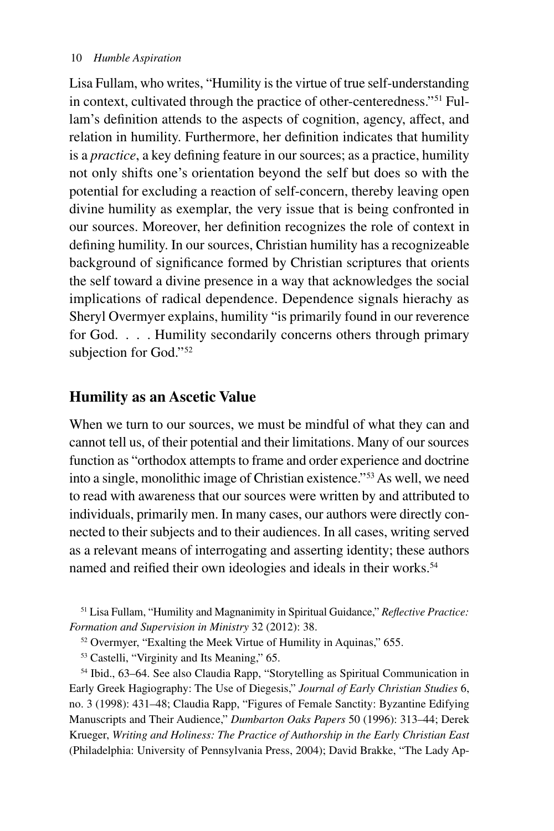Lisa Fullam, who writes, "Humility is the virtue of true self-understanding in context, cultivated through the practice of other-centeredness."51 Fullam's definition attends to the aspects of cognition, agency, affect, and relation in humility. Furthermore, her definition indicates that humility is a *practice*, a key defining feature in our sources; as a practice, humility not only shifts one's orientation beyond the self but does so with the potential for excluding a reaction of self-concern, thereby leaving open divine humility as exemplar, the very issue that is being confronted in our sources. Moreover, her definition recognizes the role of context in defining humility. In our sources, Christian humility has a recognizeable background of significance formed by Christian scriptures that orients the self toward a divine presence in a way that acknowledges the social implications of radical dependence. Dependence signals hierachy as Sheryl Overmyer explains, humility "is primarily found in our reverence for God. . . . Humility secondarily concerns others through primary subjection for God."<sup>52</sup>

## **Humility as an Ascetic Value**

When we turn to our sources, we must be mindful of what they can and cannot tell us, of their potential and their limitations. Many of our sources function as "orthodox attempts to frame and order experience and doctrine into a single, monolithic image of Christian existence."53 As well, we need to read with awareness that our sources were written by and attributed to individuals, primarily men. In many cases, our authors were directly connected to their subjects and to their audiences. In all cases, writing served as a relevant means of interrogating and asserting identity; these authors named and reified their own ideologies and ideals in their works.<sup>54</sup>

51 Lisa Fullam, "Humility and Magnanimity in Spiritual Guidance," *Reflective Practice: Formation and Supervision in Ministry* 32 (2012): 38.

52 Overmyer, "Exalting the Meek Virtue of Humility in Aquinas," 655.

53 Castelli, "Virginity and Its Meaning," 65.

54 Ibid., 63–64. See also Claudia Rapp, "Storytelling as Spiritual Communication in Early Greek Hagiography: The Use of Diegesis," *Journal of Early Christian Studies* 6, no. 3 (1998): 431–48; Claudia Rapp, "Figures of Female Sanctity: Byzantine Edifying Manuscripts and Their Audience," *Dumbarton Oaks Papers* 50 (1996): 313–44; Derek Krueger, *Writing and Holiness: The Practice of Authorship in the Early Christian East* (Philadelphia: University of Pennsylvania Press, 2004); David Brakke, "The Lady Ap-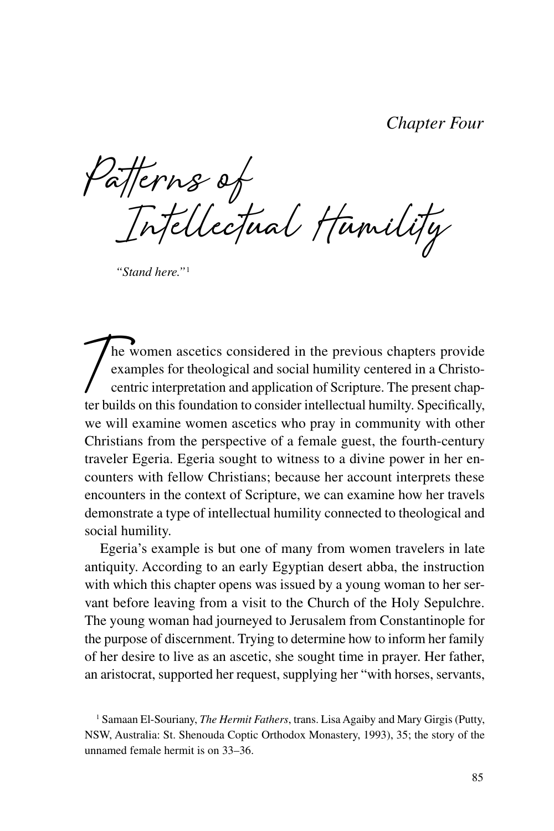*Chapter Four*

**Patterns of Intellectual Humility**

*"Stand here."*<sup>1</sup>

**T**he women ascetics considered in the previous chapters provide examples for theological and social humility centered in a Christocentric interpretation and application of Scripture. The present chapter builds on this foundation to consider intellectual humilty. Specifically, we will examine women ascetics who pray in community with other Christians from the perspective of a female guest, the fourth-century traveler Egeria. Egeria sought to witness to a divine power in her encounters with fellow Christians; because her account interprets these encounters in the context of Scripture, we can examine how her travels demonstrate a type of intellectual humility connected to theological and social humility.

Egeria's example is but one of many from women travelers in late antiquity. According to an early Egyptian desert abba, the instruction with which this chapter opens was issued by a young woman to her servant before leaving from a visit to the Church of the Holy Sepulchre. The young woman had journeyed to Jerusalem from Constantinople for the purpose of discernment. Trying to determine how to inform her family of her desire to live as an ascetic, she sought time in prayer. Her father, an aristocrat, supported her request, supplying her "with horses, servants,

<sup>&</sup>lt;sup>1</sup> Samaan El-Souriany, *The Hermit Fathers*, trans. Lisa Agaiby and Mary Girgis (Putty, NSW, Australia: St. Shenouda Coptic Orthodox Monastery, 1993), 35; the story of the unnamed female hermit is on 33–36.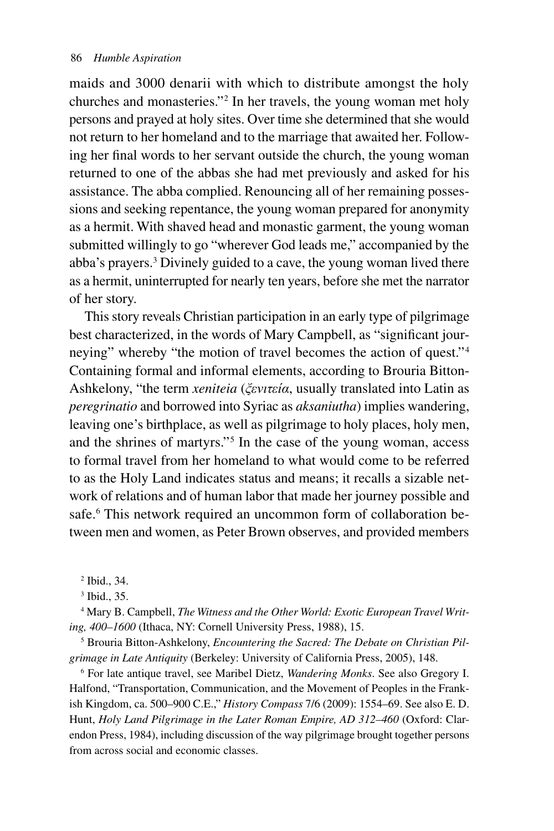maids and 3000 denarii with which to distribute amongst the holy churches and monasteries."2 In her travels, the young woman met holy persons and prayed at holy sites. Over time she determined that she would not return to her homeland and to the marriage that awaited her. Following her final words to her servant outside the church, the young woman returned to one of the abbas she had met previously and asked for his assistance. The abba complied. Renouncing all of her remaining possessions and seeking repentance, the young woman prepared for anonymity as a hermit. With shaved head and monastic garment, the young woman submitted willingly to go "wherever God leads me," accompanied by the abba's prayers.3 Divinely guided to a cave, the young woman lived there as a hermit, uninterrupted for nearly ten years, before she met the narrator of her story.

This story reveals Christian participation in an early type of pilgrimage best characterized, in the words of Mary Campbell, as "significant journeying" whereby "the motion of travel becomes the action of quest."4 Containing formal and informal elements, according to Brouria Bitton-Ashkelony, "the term *xeniteia* (*ξενιτεία*, usually translated into Latin as *peregrinatio* and borrowed into Syriac as *aksaniutha*) implies wandering, leaving one's birthplace, as well as pilgrimage to holy places, holy men, and the shrines of martyrs."5 In the case of the young woman, access to formal travel from her homeland to what would come to be referred to as the Holy Land indicates status and means; it recalls a sizable network of relations and of human labor that made her journey possible and safe.<sup>6</sup> This network required an uncommon form of collaboration between men and women, as Peter Brown observes, and provided members

2 Ibid., 34.

3 Ibid., 35.

4 Mary B. Campbell, *The Witness and the Other World: Exotic European Travel Writing, 400–1600* (Ithaca, NY: Cornell University Press, 1988), 15.

5 Brouria Bitton-Ashkelony, *Encountering the Sacred: The Debate on Christian Pilgrimage in Late Antiquity* (Berkeley: University of California Press, 2005), 148.

6 For late antique travel, see Maribel Dietz, *Wandering Monks*. See also Gregory I. Halfond, "Transportation, Communication, and the Movement of Peoples in the Frankish Kingdom, ca. 500–900 C.E.," *History Compass* 7/6 (2009): 1554–69. See also E. D. Hunt, *Holy Land Pilgrimage in the Later Roman Empire, AD 312–460* (Oxford: Clarendon Press, 1984), including discussion of the way pilgrimage brought together persons from across social and economic classes.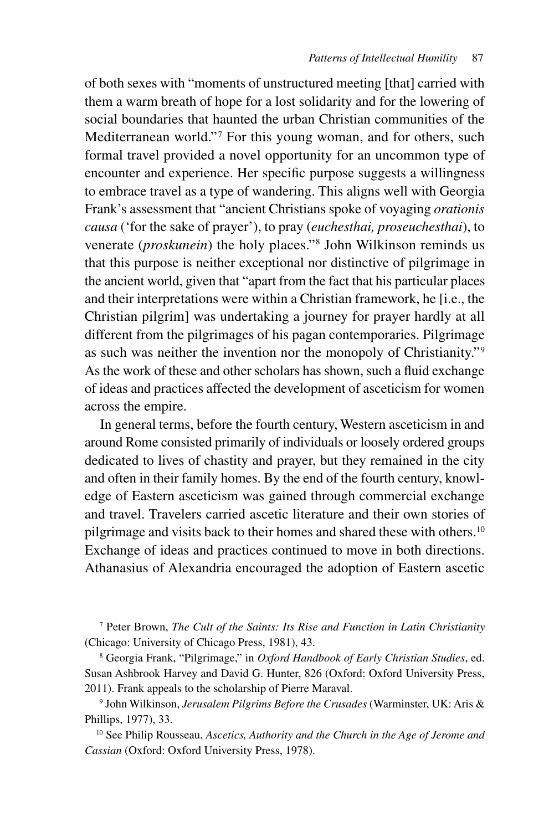of both sexes with "moments of unstructured meeting [that] carried with them a warm breath of hope for a lost solidarity and for the lowering of social boundaries that haunted the urban Christian communities of the Mediterranean world."<sup>7</sup> For this young woman, and for others, such formal travel provided a novel opportunity for an uncommon type of encounter and experience. Her specific purpose suggests a willingness to embrace travel as a type of wandering. This aligns well with Georgia Frank's assessment that "ancient Christians spoke of voyaging *orationis causa* ('for the sake of prayer'), to pray (*euchesthai, proseuchesthai*), to venerate (*proskunein*) the holy places."8 John Wilkinson reminds us that this purpose is neither exceptional nor distinctive of pilgrimage in the ancient world, given that "apart from the fact that his particular places and their interpretations were within a Christian framework, he [i.e., the Christian pilgrim] was undertaking a journey for prayer hardly at all different from the pilgrimages of his pagan contemporaries. Pilgrimage as such was neither the invention nor the monopoly of Christianity."9 As the work of these and other scholars has shown, such a fluid exchange of ideas and practices affected the development of asceticism for women across the empire.

In general terms, before the fourth century, Western asceticism in and around Rome consisted primarily of individuals or loosely ordered groups dedicated to lives of chastity and prayer, but they remained in the city and often in their family homes. By the end of the fourth century, knowledge of Eastern asceticism was gained through commercial exchange and travel. Travelers carried ascetic literature and their own stories of pilgrimage and visits back to their homes and shared these with others.<sup>10</sup> Exchange of ideas and practices continued to move in both directions. Athanasius of Alexandria encouraged the adoption of Eastern ascetic

7 Peter Brown, *The Cult of the Saints: Its Rise and Function in Latin Christianity* (Chicago: University of Chicago Press, 1981), 43.

8 Georgia Frank, "Pilgrimage," in *Oxford Handbook of Early Christian Studies*, ed. Susan Ashbrook Harvey and David G. Hunter, 826 (Oxford: Oxford University Press, 2011). Frank appeals to the scholarship of Pierre Maraval.

9 John Wilkinson, *Jerusalem Pilgrims Before the Crusades* (Warminster, UK: Aris & Phillips, 1977), 33.

10 See Philip Rousseau, *Ascetics, Authority and the Church in the Age of Jerome and Cassian* (Oxford: Oxford University Press, 1978).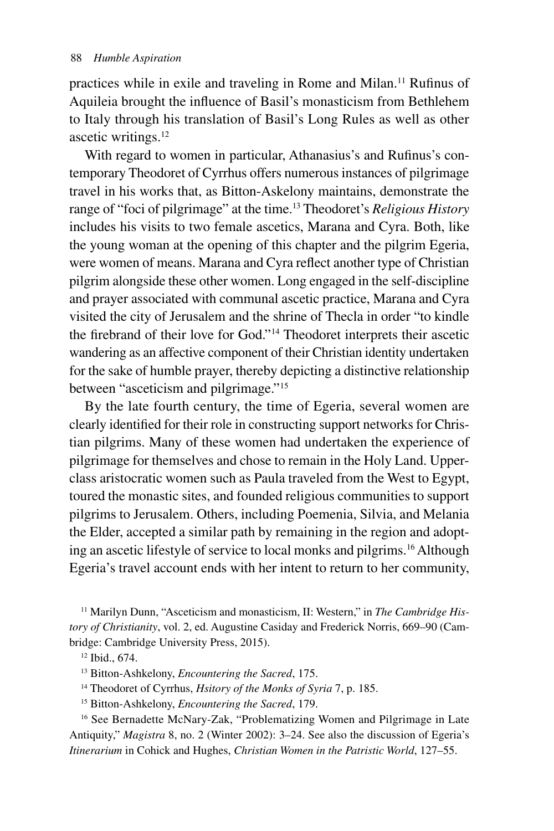practices while in exile and traveling in Rome and Milan.<sup>11</sup> Rufinus of Aquileia brought the influence of Basil's monasticism from Bethlehem to Italy through his translation of Basil's Long Rules as well as other ascetic writings.<sup>12</sup>

With regard to women in particular, Athanasius's and Rufinus's contemporary Theodoret of Cyrrhus offers numerous instances of pilgrimage travel in his works that, as Bitton-Askelony maintains, demonstrate the range of "foci of pilgrimage" at the time.13 Theodoret's *Religious History* includes his visits to two female ascetics, Marana and Cyra. Both, like the young woman at the opening of this chapter and the pilgrim Egeria, were women of means. Marana and Cyra reflect another type of Christian pilgrim alongside these other women. Long engaged in the self-discipline and prayer associated with communal ascetic practice, Marana and Cyra visited the city of Jerusalem and the shrine of Thecla in order "to kindle the firebrand of their love for God."14 Theodoret interprets their ascetic wandering as an affective component of their Christian identity undertaken for the sake of humble prayer, thereby depicting a distinctive relationship between "asceticism and pilgrimage."15

By the late fourth century, the time of Egeria, several women are clearly identified for their role in constructing support networks for Christian pilgrims. Many of these women had undertaken the experience of pilgrimage for themselves and chose to remain in the Holy Land. Upperclass aristocratic women such as Paula traveled from the West to Egypt, toured the monastic sites, and founded religious communities to support pilgrims to Jerusalem. Others, including Poemenia, Silvia, and Melania the Elder, accepted a similar path by remaining in the region and adopting an ascetic lifestyle of service to local monks and pilgrims.16 Although Egeria's travel account ends with her intent to return to her community,

<sup>11</sup> Marilyn Dunn, "Asceticism and monasticism, II: Western," in *The Cambridge History of Christianity*, vol. 2, ed. Augustine Casiday and Frederick Norris, 669–90 (Cambridge: Cambridge University Press, 2015).

13 Bitton-Ashkelony, *Encountering the Sacred*, 175.

14 Theodoret of Cyrrhus, *Hsitory of the Monks of Syria* 7, p. 185.

15 Bitton-Ashkelony, *Encountering the Sacred*, 179.

<sup>16</sup> See Bernadette McNary-Zak, "Problematizing Women and Pilgrimage in Late Antiquity," *Magistra* 8, no. 2 (Winter 2002): 3–24. See also the discussion of Egeria's *Itinerarium* in Cohick and Hughes, *Christian Women in the Patristic World*, 127–55.

<sup>12</sup> Ibid., 674.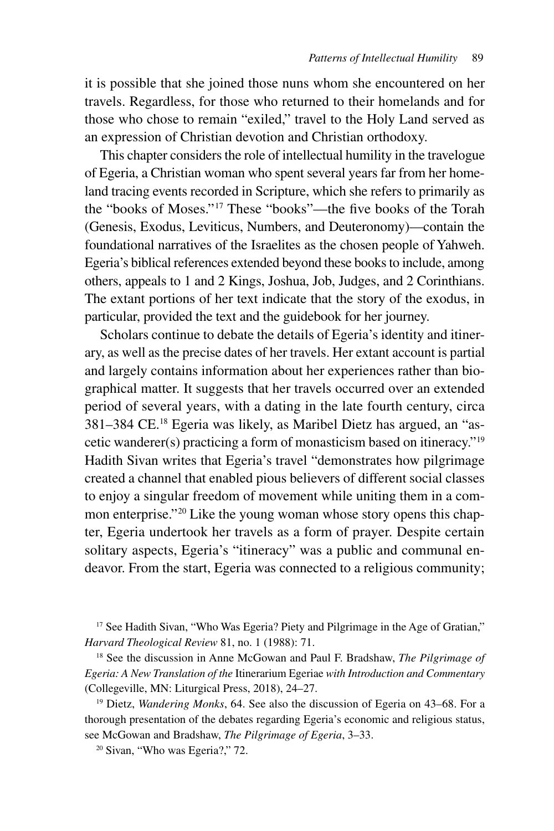it is possible that she joined those nuns whom she encountered on her travels. Regardless, for those who returned to their homelands and for those who chose to remain "exiled," travel to the Holy Land served as an expression of Christian devotion and Christian orthodoxy.

This chapter considers the role of intellectual humility in the travelogue of Egeria, a Christian woman who spent several years far from her homeland tracing events recorded in Scripture, which she refers to primarily as the "books of Moses."17 These "books"—the five books of the Torah (Genesis, Exodus, Leviticus, Numbers, and Deuteronomy)—contain the foundational narratives of the Israelites as the chosen people of Yahweh. Egeria's biblical references extended beyond these books to include, among others, appeals to 1 and 2 Kings, Joshua, Job, Judges, and 2 Corinthians. The extant portions of her text indicate that the story of the exodus, in particular, provided the text and the guidebook for her journey.

Scholars continue to debate the details of Egeria's identity and itinerary, as well as the precise dates of her travels. Her extant account is partial and largely contains information about her experiences rather than biographical matter. It suggests that her travels occurred over an extended period of several years, with a dating in the late fourth century, circa 381–384 CE.18 Egeria was likely, as Maribel Dietz has argued, an "ascetic wanderer(s) practicing a form of monasticism based on itineracy."19 Hadith Sivan writes that Egeria's travel "demonstrates how pilgrimage created a channel that enabled pious believers of different social classes to enjoy a singular freedom of movement while uniting them in a common enterprise."<sup>20</sup> Like the young woman whose story opens this chapter, Egeria undertook her travels as a form of prayer. Despite certain solitary aspects, Egeria's "itineracy" was a public and communal endeavor. From the start, Egeria was connected to a religious community;

<sup>17</sup> See Hadith Sivan, "Who Was Egeria? Piety and Pilgrimage in the Age of Gratian," *Harvard Theological Review* 81, no. 1 (1988): 71.

18 See the discussion in Anne McGowan and Paul F. Bradshaw, *The Pilgrimage of Egeria: A New Translation of the* Itinerarium Egeriae *with Introduction and Commentary* (Collegeville, MN: Liturgical Press, 2018), 24–27.

19 Dietz, *Wandering Monks*, 64. See also the discussion of Egeria on 43–68. For a thorough presentation of the debates regarding Egeria's economic and religious status, see McGowan and Bradshaw, *The Pilgrimage of Egeria*, 3–33.

20 Sivan, "Who was Egeria?," 72.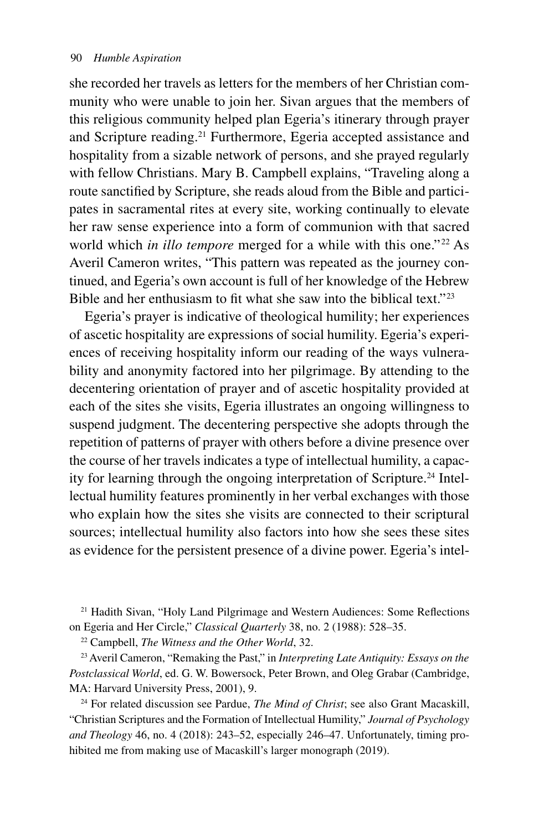she recorded her travels as letters for the members of her Christian community who were unable to join her. Sivan argues that the members of this religious community helped plan Egeria's itinerary through prayer and Scripture reading.21 Furthermore, Egeria accepted assistance and hospitality from a sizable network of persons, and she prayed regularly with fellow Christians. Mary B. Campbell explains, "Traveling along a route sanctified by Scripture, she reads aloud from the Bible and participates in sacramental rites at every site, working continually to elevate her raw sense experience into a form of communion with that sacred world which *in illo tempore* merged for a while with this one."<sup>22</sup> As Averil Cameron writes, "This pattern was repeated as the journey continued, and Egeria's own account is full of her knowledge of the Hebrew Bible and her enthusiasm to fit what she saw into the biblical text."<sup>23</sup>

Egeria's prayer is indicative of theological humility; her experiences of ascetic hospitality are expressions of social humility. Egeria's experiences of receiving hospitality inform our reading of the ways vulnerability and anonymity factored into her pilgrimage. By attending to the decentering orientation of prayer and of ascetic hospitality provided at each of the sites she visits, Egeria illustrates an ongoing willingness to suspend judgment. The decentering perspective she adopts through the repetition of patterns of prayer with others before a divine presence over the course of her travels indicates a type of intellectual humility, a capacity for learning through the ongoing interpretation of Scripture.<sup>24</sup> Intellectual humility features prominently in her verbal exchanges with those who explain how the sites she visits are connected to their scriptural sources; intellectual humility also factors into how she sees these sites as evidence for the persistent presence of a divine power. Egeria's intel-

21 Hadith Sivan, "Holy Land Pilgrimage and Western Audiences: Some Reflections on Egeria and Her Circle," *Classical Quarterly* 38, no. 2 (1988): 528–35.

22 Campbell, *The Witness and the Other World*, 32.

23 Averil Cameron, "Remaking the Past," in *Interpreting Late Antiquity: Essays on the Postclassical World*, ed. G. W. Bowersock, Peter Brown, and Oleg Grabar (Cambridge, MA: Harvard University Press, 2001), 9.

24 For related discussion see Pardue, *The Mind of Christ*; see also Grant Macaskill, "Christian Scriptures and the Formation of Intellectual Humility," *Journal of Psychology and Theology* 46, no. 4 (2018): 243–52, especially 246–47. Unfortunately, timing prohibited me from making use of Macaskill's larger monograph (2019).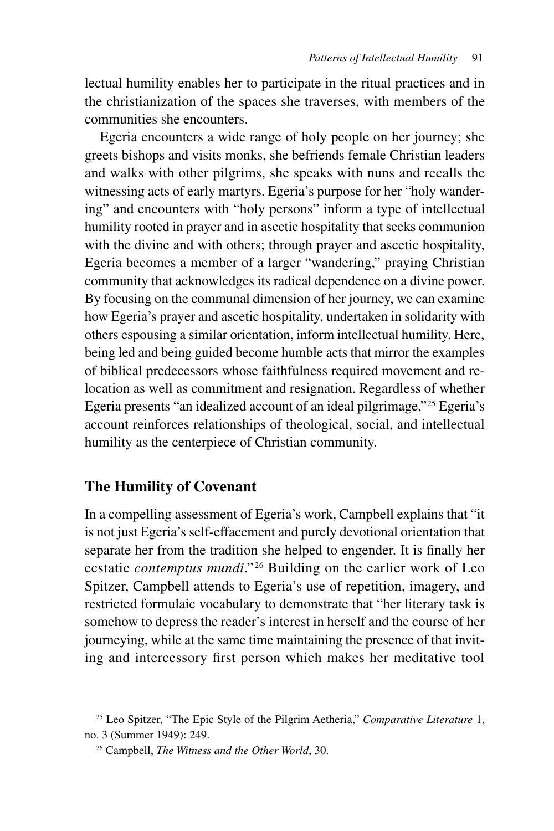lectual humility enables her to participate in the ritual practices and in the christianization of the spaces she traverses, with members of the communities she encounters.

Egeria encounters a wide range of holy people on her journey; she greets bishops and visits monks, she befriends female Christian leaders and walks with other pilgrims, she speaks with nuns and recalls the witnessing acts of early martyrs. Egeria's purpose for her "holy wandering" and encounters with "holy persons" inform a type of intellectual humility rooted in prayer and in ascetic hospitality that seeks communion with the divine and with others; through prayer and ascetic hospitality, Egeria becomes a member of a larger "wandering," praying Christian community that acknowledges its radical dependence on a divine power. By focusing on the communal dimension of her journey, we can examine how Egeria's prayer and ascetic hospitality, undertaken in solidarity with others espousing a similar orientation, inform intellectual humility. Here, being led and being guided become humble acts that mirror the examples of biblical predecessors whose faithfulness required movement and relocation as well as commitment and resignation. Regardless of whether Egeria presents "an idealized account of an ideal pilgrimage,"25 Egeria's account reinforces relationships of theological, social, and intellectual humility as the centerpiece of Christian community.

### **The Humility of Covenant**

In a compelling assessment of Egeria's work, Campbell explains that "it is not just Egeria's self-effacement and purely devotional orientation that separate her from the tradition she helped to engender. It is finally her ecstatic *contemptus mundi*."<sup>26</sup> Building on the earlier work of Leo Spitzer, Campbell attends to Egeria's use of repetition, imagery, and restricted formulaic vocabulary to demonstrate that "her literary task is somehow to depress the reader's interest in herself and the course of her journeying, while at the same time maintaining the presence of that inviting and intercessory first person which makes her meditative tool

<sup>25</sup> Leo Spitzer, "The Epic Style of the Pilgrim Aetheria," *Comparative Literature* 1, no. 3 (Summer 1949): 249.

<sup>26</sup> Campbell, *The Witness and the Other World*, 30.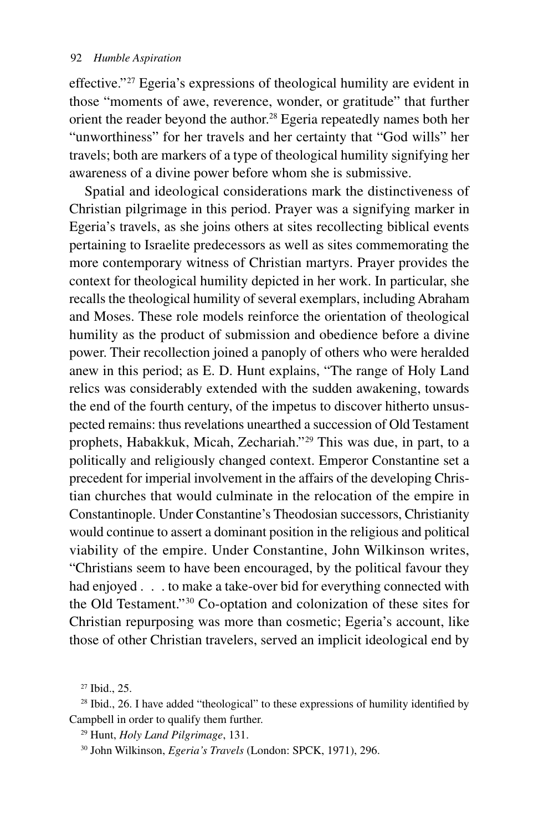effective."27 Egeria's expressions of theological humility are evident in those "moments of awe, reverence, wonder, or gratitude" that further orient the reader beyond the author.28 Egeria repeatedly names both her "unworthiness" for her travels and her certainty that "God wills" her travels; both are markers of a type of theological humility signifying her awareness of a divine power before whom she is submissive.

Spatial and ideological considerations mark the distinctiveness of Christian pilgrimage in this period. Prayer was a signifying marker in Egeria's travels, as she joins others at sites recollecting biblical events pertaining to Israelite predecessors as well as sites commemorating the more contemporary witness of Christian martyrs. Prayer provides the context for theological humility depicted in her work. In particular, she recalls the theological humility of several exemplars, including Abraham and Moses. These role models reinforce the orientation of theological humility as the product of submission and obedience before a divine power. Their recollection joined a panoply of others who were heralded anew in this period; as E. D. Hunt explains, "The range of Holy Land relics was considerably extended with the sudden awakening, towards the end of the fourth century, of the impetus to discover hitherto unsuspected remains: thus revelations unearthed a succession of Old Testament prophets, Habakkuk, Micah, Zechariah."29 This was due, in part, to a politically and religiously changed context. Emperor Constantine set a precedent for imperial involvement in the affairs of the developing Christian churches that would culminate in the relocation of the empire in Constantinople. Under Constantine's Theodosian successors, Christianity would continue to assert a dominant position in the religious and political viability of the empire. Under Constantine, John Wilkinson writes, "Christians seem to have been encouraged, by the political favour they had enjoyed . . . to make a take-over bid for everything connected with the Old Testament."30 Co-optation and colonization of these sites for Christian repurposing was more than cosmetic; Egeria's account, like those of other Christian travelers, served an implicit ideological end by

<sup>27</sup> Ibid., 25.

<sup>&</sup>lt;sup>28</sup> Ibid., 26. I have added "theological" to these expressions of humility identified by Campbell in order to qualify them further.

<sup>29</sup> Hunt, *Holy Land Pilgrimage*, 131.

<sup>30</sup> John Wilkinson, *Egeria's Travels* (London: SPCK, 1971), 296.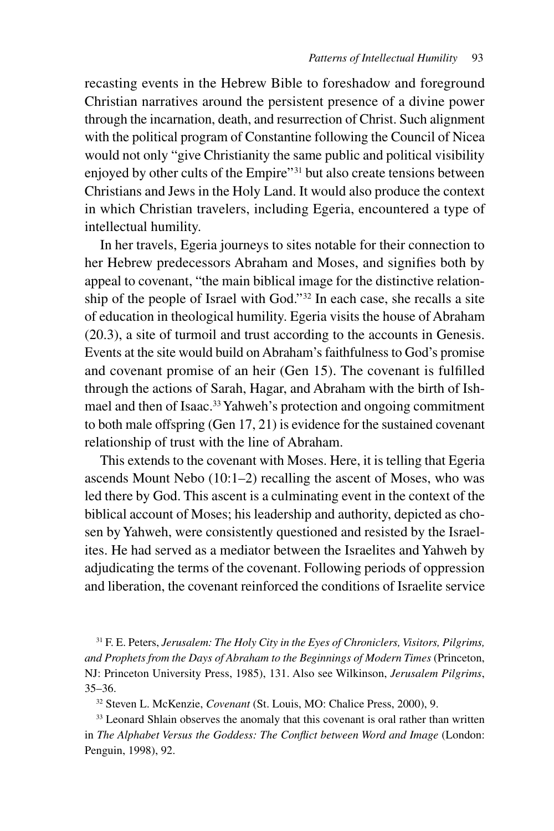recasting events in the Hebrew Bible to foreshadow and foreground Christian narratives around the persistent presence of a divine power through the incarnation, death, and resurrection of Christ. Such alignment with the political program of Constantine following the Council of Nicea would not only "give Christianity the same public and political visibility enjoyed by other cults of the Empire"31 but also create tensions between Christians and Jews in the Holy Land. It would also produce the context in which Christian travelers, including Egeria, encountered a type of intellectual humility.

In her travels, Egeria journeys to sites notable for their connection to her Hebrew predecessors Abraham and Moses, and signifies both by appeal to covenant, "the main biblical image for the distinctive relationship of the people of Israel with God."32 In each case, she recalls a site of education in theological humility. Egeria visits the house of Abraham (20.3), a site of turmoil and trust according to the accounts in Genesis. Events at the site would build on Abraham's faithfulness to God's promise and covenant promise of an heir (Gen 15). The covenant is fulfilled through the actions of Sarah, Hagar, and Abraham with the birth of Ishmael and then of Isaac.<sup>33</sup> Yahweh's protection and ongoing commitment to both male offspring (Gen 17, 21) is evidence for the sustained covenant relationship of trust with the line of Abraham.

This extends to the covenant with Moses. Here, it is telling that Egeria ascends Mount Nebo (10:1–2) recalling the ascent of Moses, who was led there by God. This ascent is a culminating event in the context of the biblical account of Moses; his leadership and authority, depicted as chosen by Yahweh, were consistently questioned and resisted by the Israelites. He had served as a mediator between the Israelites and Yahweh by adjudicating the terms of the covenant. Following periods of oppression and liberation, the covenant reinforced the conditions of Israelite service

31 F. E. Peters, *Jerusalem: The Holy City in the Eyes of Chroniclers, Visitors, Pilgrims, and Prophets from the Days of Abraham to the Beginnings of Modern Times* (Princeton, NJ: Princeton University Press, 1985), 131. Also see Wilkinson, *Jerusalem Pilgrims*, 35–36.

32 Steven L. McKenzie, *Covenant* (St. Louis, MO: Chalice Press, 2000), 9.

<sup>33</sup> Leonard Shlain observes the anomaly that this covenant is oral rather than written in *The Alphabet Versus the Goddess: The Conflict between Word and Image* (London: Penguin, 1998), 92.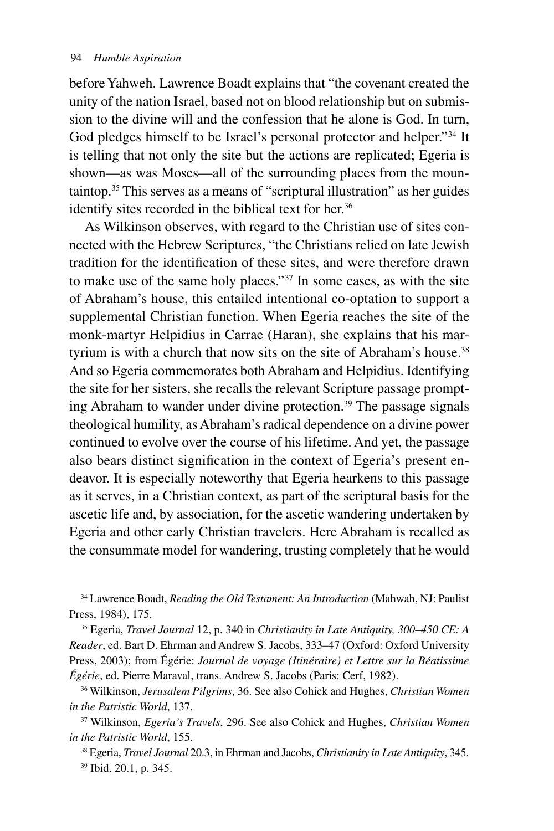before Yahweh. Lawrence Boadt explains that "the covenant created the unity of the nation Israel, based not on blood relationship but on submission to the divine will and the confession that he alone is God. In turn, God pledges himself to be Israel's personal protector and helper."<sup>34</sup> It is telling that not only the site but the actions are replicated; Egeria is shown—as was Moses—all of the surrounding places from the mountaintop.35 This serves as a means of "scriptural illustration" as her guides identify sites recorded in the biblical text for her.<sup>36</sup>

As Wilkinson observes, with regard to the Christian use of sites connected with the Hebrew Scriptures, "the Christians relied on late Jewish tradition for the identification of these sites, and were therefore drawn to make use of the same holy places."37 In some cases, as with the site of Abraham's house, this entailed intentional co-optation to support a supplemental Christian function. When Egeria reaches the site of the monk-martyr Helpidius in Carrae (Haran), she explains that his martyrium is with a church that now sits on the site of Abraham's house.<sup>38</sup> And so Egeria commemorates both Abraham and Helpidius. Identifying the site for her sisters, she recalls the relevant Scripture passage prompting Abraham to wander under divine protection.<sup>39</sup> The passage signals theological humility, as Abraham's radical dependence on a divine power continued to evolve over the course of his lifetime. And yet, the passage also bears distinct signification in the context of Egeria's present endeavor. It is especially noteworthy that Egeria hearkens to this passage as it serves, in a Christian context, as part of the scriptural basis for the ascetic life and, by association, for the ascetic wandering undertaken by Egeria and other early Christian travelers. Here Abraham is recalled as the consummate model for wandering, trusting completely that he would

34 Lawrence Boadt, *Reading the Old Testament: An Introduction* (Mahwah, NJ: Paulist Press, 1984), 175.

35 Egeria, *Travel Journal* 12, p. 340 in *Christianity in Late Antiquity, 300–450 CE: A Reader*, ed. Bart D. Ehrman and Andrew S. Jacobs, 333–47 (Oxford: Oxford University Press, 2003); from Égérie: *Journal de voyage (Itinéraire) et Lettre sur la Béatissime Égérie*, ed. Pierre Maraval, trans. Andrew S. Jacobs (Paris: Cerf, 1982).

36 Wilkinson, *Jerusalem Pilgrims*, 36. See also Cohick and Hughes, *Christian Women in the Patristic World*, 137.

37 Wilkinson, *Egeria's Travels*, 296. See also Cohick and Hughes, *Christian Women in the Patristic World*, 155.

38 Egeria, *Travel Journal* 20.3, in Ehrman and Jacobs, *Christianity in Late Antiquity*, 345. 39 Ibid. 20.1, p. 345.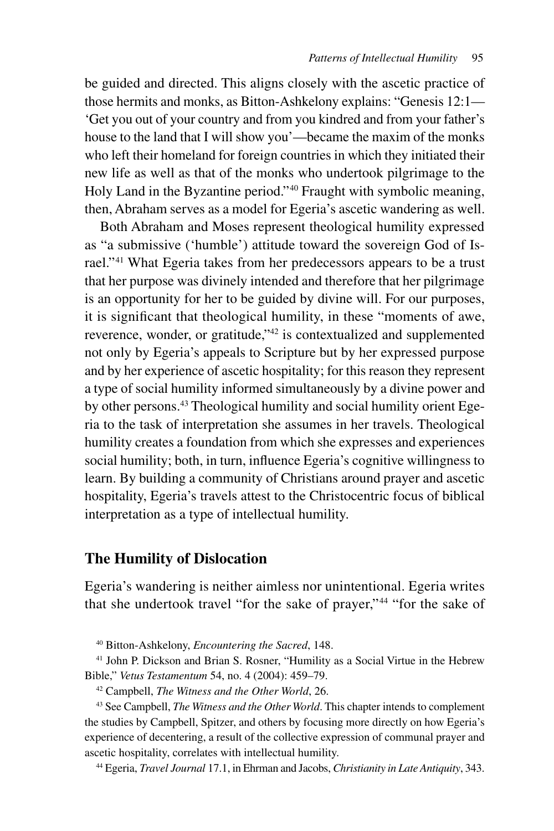be guided and directed. This aligns closely with the ascetic practice of those hermits and monks, as Bitton-Ashkelony explains: "Genesis 12:1— 'Get you out of your country and from you kindred and from your father's house to the land that I will show you'—became the maxim of the monks who left their homeland for foreign countries in which they initiated their new life as well as that of the monks who undertook pilgrimage to the Holy Land in the Byzantine period."40 Fraught with symbolic meaning, then, Abraham serves as a model for Egeria's ascetic wandering as well.

Both Abraham and Moses represent theological humility expressed as "a submissive ('humble') attitude toward the sovereign God of Israel."41 What Egeria takes from her predecessors appears to be a trust that her purpose was divinely intended and therefore that her pilgrimage is an opportunity for her to be guided by divine will. For our purposes, it is significant that theological humility, in these "moments of awe, reverence, wonder, or gratitude,"42 is contextualized and supplemented not only by Egeria's appeals to Scripture but by her expressed purpose and by her experience of ascetic hospitality; for this reason they represent a type of social humility informed simultaneously by a divine power and by other persons.43 Theological humility and social humility orient Egeria to the task of interpretation she assumes in her travels. Theological humility creates a foundation from which she expresses and experiences social humility; both, in turn, influence Egeria's cognitive willingness to learn. By building a community of Christians around prayer and ascetic hospitality, Egeria's travels attest to the Christocentric focus of biblical interpretation as a type of intellectual humility.

## **The Humility of Dislocation**

Egeria's wandering is neither aimless nor unintentional. Egeria writes that she undertook travel "for the sake of prayer,"<sup>44</sup> "for the sake of

40 Bitton-Ashkelony, *Encountering the Sacred*, 148.

<sup>41</sup> John P. Dickson and Brian S. Rosner, "Humility as a Social Virtue in the Hebrew Bible," *Vetus Testamentum* 54, no. 4 (2004): 459–79.

42 Campbell, *The Witness and the Other World*, 26.

43 See Campbell, *The Witness and the Other World*. This chapter intends to complement the studies by Campbell, Spitzer, and others by focusing more directly on how Egeria's experience of decentering, a result of the collective expression of communal prayer and ascetic hospitality, correlates with intellectual humility.

44 Egeria, *Travel Journal* 17.1, in Ehrman and Jacobs, *Christianity in Late Antiquity*, 343.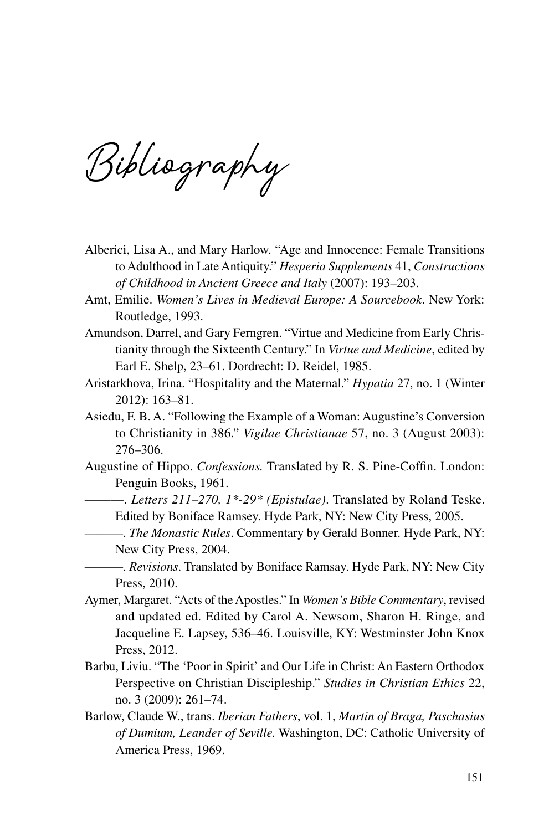**Bibliography**

- Alberici, Lisa A., and Mary Harlow. "Age and Innocence: Female Transitions to Adulthood in Late Antiquity." *Hesperia Supplements* 41, *Constructions of Childhood in Ancient Greece and Italy* (2007): 193–203.
- Amt, Emilie. *Women's Lives in Medieval Europe: A Sourcebook*. New York: Routledge, 1993.
- Amundson, Darrel, and Gary Ferngren. "Virtue and Medicine from Early Christianity through the Sixteenth Century." In *Virtue and Medicine*, edited by Earl E. Shelp, 23–61. Dordrecht: D. Reidel, 1985.
- Aristarkhova, Irina. "Hospitality and the Maternal." *Hypatia* 27, no. 1 (Winter 2012): 163–81.
- Asiedu, F. B. A. "Following the Example of a Woman: Augustine's Conversion to Christianity in 386." *Vigilae Christianae* 57, no. 3 (August 2003): 276–306.
- Augustine of Hippo. *Confessions.* Translated by R. S. Pine-Coffin. London: Penguin Books, 1961.
	- ———. *Letters 211–270, 1\*-29\* (Epistulae)*. Translated by Roland Teske. Edited by Boniface Ramsey. Hyde Park, NY: New City Press, 2005.
	- ———. *The Monastic Rules*. Commentary by Gerald Bonner. Hyde Park, NY: New City Press, 2004.
	- ———. *Revisions*. Translated by Boniface Ramsay. Hyde Park, NY: New City Press, 2010.
- Aymer, Margaret. "Acts of the Apostles." In *Women's Bible Commentary*, revised and updated ed. Edited by Carol A. Newsom, Sharon H. Ringe, and Jacqueline E. Lapsey, 536–46. Louisville, KY: Westminster John Knox Press, 2012.
- Barbu, Liviu. "The 'Poor in Spirit' and Our Life in Christ: An Eastern Orthodox Perspective on Christian Discipleship." *Studies in Christian Ethics* 22, no. 3 (2009): 261–74.
- Barlow, Claude W., trans. *Iberian Fathers*, vol. 1, *Martin of Braga, Paschasius of Dumium, Leander of Seville.* Washington, DC: Catholic University of America Press, 1969.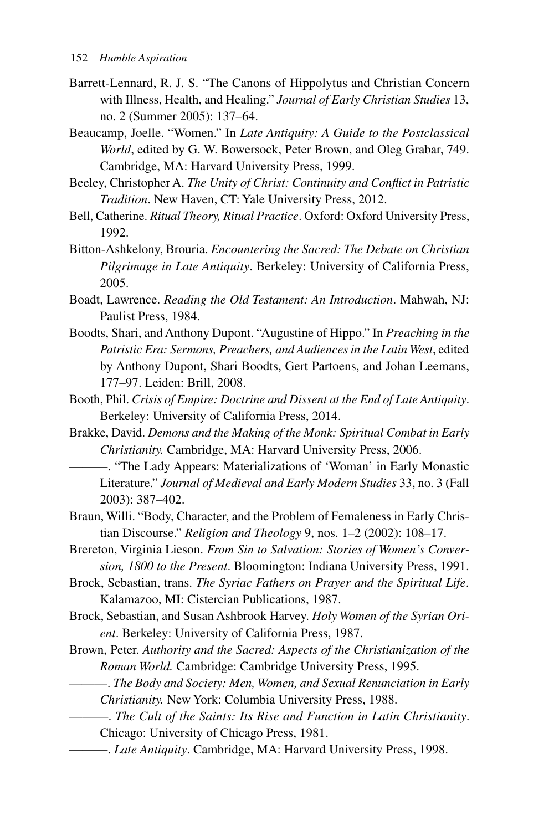- Barrett-Lennard, R. J. S. "The Canons of Hippolytus and Christian Concern with Illness, Health, and Healing." *Journal of Early Christian Studies* 13, no. 2 (Summer 2005): 137–64.
- Beaucamp, Joelle. "Women." In *Late Antiquity: A Guide to the Postclassical World*, edited by G. W. Bowersock, Peter Brown, and Oleg Grabar, 749. Cambridge, MA: Harvard University Press, 1999.
- Beeley, Christopher A. *The Unity of Christ: Continuity and Conflict in Patristic Tradition*. New Haven, CT: Yale University Press, 2012.
- Bell, Catherine. *Ritual Theory, Ritual Practice*. Oxford: Oxford University Press, 1992.
- Bitton-Ashkelony, Brouria. *Encountering the Sacred: The Debate on Christian Pilgrimage in Late Antiquity*. Berkeley: University of California Press, 2005.
- Boadt, Lawrence. *Reading the Old Testament: An Introduction*. Mahwah, NJ: Paulist Press, 1984.
- Boodts, Shari, and Anthony Dupont. "Augustine of Hippo." In *Preaching in the Patristic Era: Sermons, Preachers, and Audiences in the Latin West*, edited by Anthony Dupont, Shari Boodts, Gert Partoens, and Johan Leemans, 177–97. Leiden: Brill, 2008.
- Booth, Phil. *Crisis of Empire: Doctrine and Dissent at the End of Late Antiquity*. Berkeley: University of California Press, 2014.
- Brakke, David. *Demons and the Making of the Monk: Spiritual Combat in Early Christianity.* Cambridge, MA: Harvard University Press, 2006.
	- ———. "The Lady Appears: Materializations of 'Woman' in Early Monastic Literature." *Journal of Medieval and Early Modern Studies* 33, no. 3 (Fall 2003): 387–402.
- Braun, Willi. "Body, Character, and the Problem of Femaleness in Early Christian Discourse." *Religion and Theology* 9, nos. 1–2 (2002): 108–17.
- Brereton, Virginia Lieson. *From Sin to Salvation: Stories of Women's Conversion, 1800 to the Present*. Bloomington: Indiana University Press, 1991.
- Brock, Sebastian, trans. *The Syriac Fathers on Prayer and the Spiritual Life*. Kalamazoo, MI: Cistercian Publications, 1987.
- Brock, Sebastian, and Susan Ashbrook Harvey. *Holy Women of the Syrian Orient*. Berkeley: University of California Press, 1987.
- Brown, Peter. *Authority and the Sacred: Aspects of the Christianization of the Roman World.* Cambridge: Cambridge University Press, 1995.
	- ———. *The Body and Society: Men, Women, and Sexual Renunciation in Early Christianity.* New York: Columbia University Press, 1988.
	- ———. *The Cult of the Saints: Its Rise and Function in Latin Christianity*. Chicago: University of Chicago Press, 1981.
- ———. *Late Antiquity*. Cambridge, MA: Harvard University Press, 1998.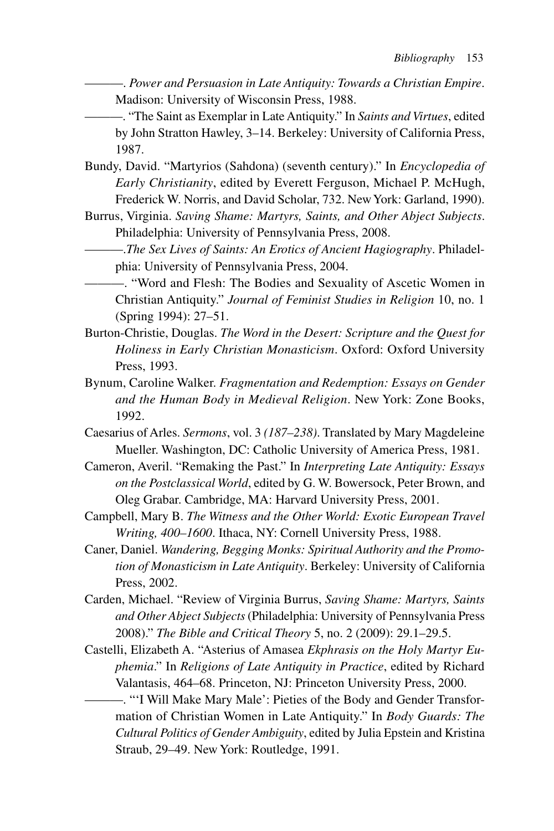———. *Power and Persuasion in Late Antiquity: Towards a Christian Empire*. Madison: University of Wisconsin Press, 1988.

———. "The Saint as Exemplar in Late Antiquity." In *Saints and Virtues*, edited by John Stratton Hawley, 3–14. Berkeley: University of California Press, 1987.

- Bundy, David. "Martyrios (Sahdona) (seventh century)." In *Encyclopedia of Early Christianity*, edited by Everett Ferguson, Michael P. McHugh, Frederick W. Norris, and David Scholar, 732. New York: Garland, 1990).
- Burrus, Virginia. *Saving Shame: Martyrs, Saints, and Other Abject Subjects*. Philadelphia: University of Pennsylvania Press, 2008.
	- ———.*The Sex Lives of Saints: An Erotics of Ancient Hagiography*. Philadelphia: University of Pennsylvania Press, 2004.
		- ———. "Word and Flesh: The Bodies and Sexuality of Ascetic Women in Christian Antiquity." *Journal of Feminist Studies in Religion* 10, no. 1 (Spring 1994): 27–51.
- Burton-Christie, Douglas. *The Word in the Desert: Scripture and the Quest for Holiness in Early Christian Monasticism*. Oxford: Oxford University Press, 1993.
- Bynum, Caroline Walker. *Fragmentation and Redemption: Essays on Gender and the Human Body in Medieval Religion*. New York: Zone Books, 1992.
- Caesarius of Arles. *Sermons*, vol. 3 *(187–238)*. Translated by Mary Magdeleine Mueller. Washington, DC: Catholic University of America Press, 1981.
- Cameron, Averil. "Remaking the Past." In *Interpreting Late Antiquity: Essays on the Postclassical World*, edited by G. W. Bowersock, Peter Brown, and Oleg Grabar. Cambridge, MA: Harvard University Press, 2001.
- Campbell, Mary B. *The Witness and the Other World: Exotic European Travel Writing, 400–1600*. Ithaca, NY: Cornell University Press, 1988.
- Caner, Daniel. *Wandering, Begging Monks: Spiritual Authority and the Promotion of Monasticism in Late Antiquity*. Berkeley: University of California Press, 2002.
- Carden, Michael. "Review of Virginia Burrus, *Saving Shame: Martyrs, Saints and Other Abject Subjects* (Philadelphia: University of Pennsylvania Press 2008)." *The Bible and Critical Theory* 5, no. 2 (2009): 29.1–29.5.
- Castelli, Elizabeth A. "Asterius of Amasea *Ekphrasis on the Holy Martyr Euphemia*." In *Religions of Late Antiquity in Practice*, edited by Richard Valantasis, 464–68. Princeton, NJ: Princeton University Press, 2000.
	- ———. "'I Will Make Mary Male': Pieties of the Body and Gender Transformation of Christian Women in Late Antiquity." In *Body Guards: The Cultural Politics of Gender Ambiguity*, edited by Julia Epstein and Kristina Straub, 29–49. New York: Routledge, 1991.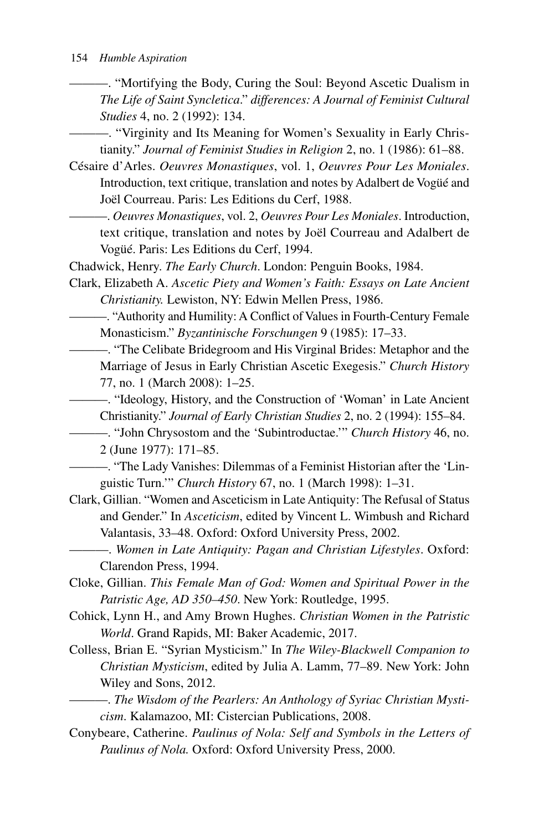———. "Mortifying the Body, Curing the Soul: Beyond Ascetic Dualism in *The Life of Saint Syncletica*." *differences: A Journal of Feminist Cultural Studies* 4, no. 2 (1992): 134.

- ———. "Virginity and Its Meaning for Women's Sexuality in Early Christianity." *Journal of Feminist Studies in Religion* 2, no. 1 (1986): 61–88.
- Césaire d'Arles. *Oeuvres Monastiques*, vol. 1, *Oeuvres Pour Les Moniales*. Introduction, text critique, translation and notes by Adalbert de Vogüé and Joël Courreau. Paris: Les Editions du Cerf, 1988.
	- ———. *Oeuvres Monastiques*, vol. 2, *Oeuvres Pour Les Moniales*. Introduction, text critique, translation and notes by Joël Courreau and Adalbert de Vogüé. Paris: Les Editions du Cerf, 1994.
- Chadwick, Henry. *The Early Church*. London: Penguin Books, 1984.
- Clark, Elizabeth A. *Ascetic Piety and Women's Faith: Essays on Late Ancient Christianity.* Lewiston, NY: Edwin Mellen Press, 1986.
	- ———. "Authority and Humility: A Conflict of Values in Fourth-Century Female Monasticism." *Byzantinische Forschungen* 9 (1985): 17–33.
	- ———. "The Celibate Bridegroom and His Virginal Brides: Metaphor and the Marriage of Jesus in Early Christian Ascetic Exegesis." *Church History* 77, no. 1 (March 2008): 1–25.
	- ———. "Ideology, History, and the Construction of 'Woman' in Late Ancient Christianity." *Journal of Early Christian Studies* 2, no. 2 (1994): 155–84.
		- ———. "John Chrysostom and the 'Subintroductae.'" *Church History* 46, no.

2 (June 1977): 171–85.

- ———. "The Lady Vanishes: Dilemmas of a Feminist Historian after the 'Linguistic Turn.'" *Church History* 67, no. 1 (March 1998): 1–31.
- Clark, Gillian. "Women and Asceticism in Late Antiquity: The Refusal of Status and Gender." In *Asceticism*, edited by Vincent L. Wimbush and Richard Valantasis, 33–48. Oxford: Oxford University Press, 2002.
	- ———. *Women in Late Antiquity: Pagan and Christian Lifestyles*. Oxford: Clarendon Press, 1994.
- Cloke, Gillian. *This Female Man of God: Women and Spiritual Power in the Patristic Age, AD 350–450*. New York: Routledge, 1995.
- Cohick, Lynn H., and Amy Brown Hughes. *Christian Women in the Patristic World*. Grand Rapids, MI: Baker Academic, 2017.
- Colless, Brian E. "Syrian Mysticism." In *The Wiley-Blackwell Companion to Christian Mysticism*, edited by Julia A. Lamm, 77–89. New York: John Wiley and Sons, 2012.
	- ———. *The Wisdom of the Pearlers: An Anthology of Syriac Christian Mysticism*. Kalamazoo, MI: Cistercian Publications, 2008.
- Conybeare, Catherine. *Paulinus of Nola: Self and Symbols in the Letters of Paulinus of Nola.* Oxford: Oxford University Press, 2000.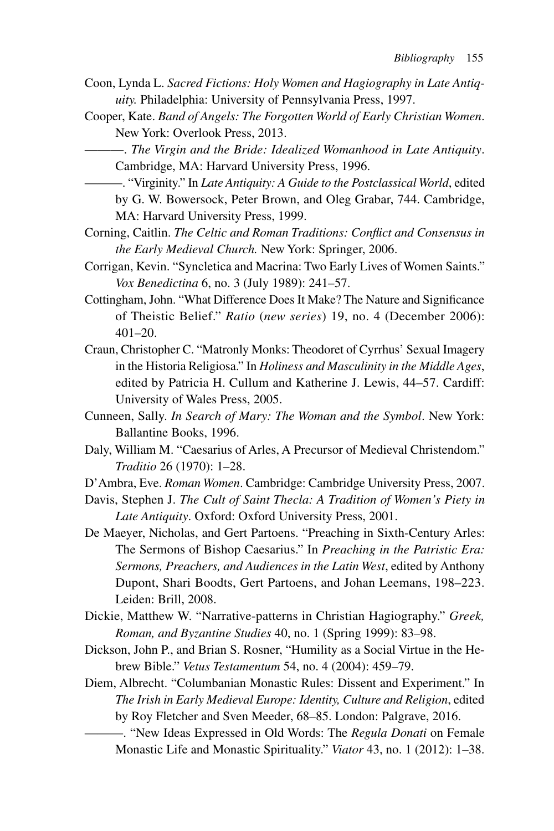- Coon, Lynda L. *Sacred Fictions: Holy Women and Hagiography in Late Antiquity.* Philadelphia: University of Pennsylvania Press, 1997.
- Cooper, Kate. *Band of Angels: The Forgotten World of Early Christian Women*. New York: Overlook Press, 2013.
	- ———. *The Virgin and the Bride: Idealized Womanhood in Late Antiquity*. Cambridge, MA: Harvard University Press, 1996.
	- ———. "Virginity." In *Late Antiquity: A Guide to the Postclassical World*, edited by G. W. Bowersock, Peter Brown, and Oleg Grabar, 744. Cambridge, MA: Harvard University Press, 1999.
- Corning, Caitlin. *The Celtic and Roman Traditions: Conflict and Consensus in the Early Medieval Church.* New York: Springer, 2006.
- Corrigan, Kevin. "Syncletica and Macrina: Two Early Lives of Women Saints." *Vox Benedictina* 6, no. 3 (July 1989): 241–57.
- Cottingham, John. "What Difference Does It Make? The Nature and Significance of Theistic Belief." *Ratio* (*new series*) 19, no. 4 (December 2006): 401–20.
- Craun, Christopher C. "Matronly Monks: Theodoret of Cyrrhus' Sexual Imagery in the Historia Religiosa." In *Holiness and Masculinity in the Middle Ages*, edited by Patricia H. Cullum and Katherine J. Lewis, 44–57. Cardiff: University of Wales Press, 2005.
- Cunneen, Sally. *In Search of Mary: The Woman and the Symbol*. New York: Ballantine Books, 1996.
- Daly, William M. "Caesarius of Arles, A Precursor of Medieval Christendom." *Traditio* 26 (1970): 1–28.
- D'Ambra, Eve. *Roman Women*. Cambridge: Cambridge University Press, 2007.
- Davis, Stephen J. *The Cult of Saint Thecla: A Tradition of Women's Piety in Late Antiquity*. Oxford: Oxford University Press, 2001.
- De Maeyer, Nicholas, and Gert Partoens. "Preaching in Sixth-Century Arles: The Sermons of Bishop Caesarius." In *Preaching in the Patristic Era: Sermons, Preachers, and Audiences in the Latin West*, edited by Anthony Dupont, Shari Boodts, Gert Partoens, and Johan Leemans, 198–223. Leiden: Brill, 2008.
- Dickie, Matthew W. "Narrative-patterns in Christian Hagiography." *Greek, Roman, and Byzantine Studies* 40, no. 1 (Spring 1999): 83–98.
- Dickson, John P., and Brian S. Rosner, "Humility as a Social Virtue in the Hebrew Bible." *Vetus Testamentum* 54, no. 4 (2004): 459–79.
- Diem, Albrecht. "Columbanian Monastic Rules: Dissent and Experiment." In *The Irish in Early Medieval Europe: Identity, Culture and Religion*, edited by Roy Fletcher and Sven Meeder, 68–85. London: Palgrave, 2016.

<sup>———. &</sup>quot;New Ideas Expressed in Old Words: The *Regula Donati* on Female Monastic Life and Monastic Spirituality." *Viator* 43, no. 1 (2012): 1–38.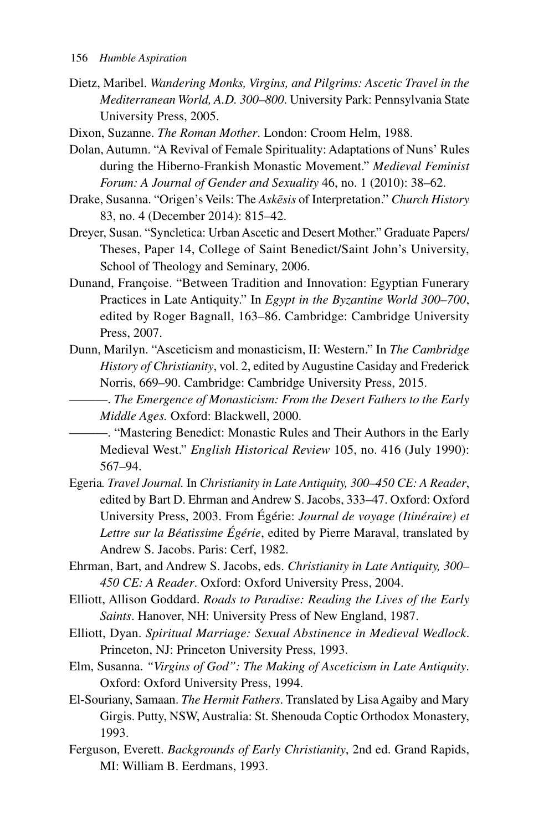- Dietz, Maribel. *Wandering Monks, Virgins, and Pilgrims: Ascetic Travel in the Mediterranean World, A.D. 300–800*. University Park: Pennsylvania State University Press, 2005.
- Dixon, Suzanne. *The Roman Mother*. London: Croom Helm, 1988.
- Dolan, Autumn. "A Revival of Female Spirituality: Adaptations of Nuns' Rules during the Hiberno-Frankish Monastic Movement." *Medieval Feminist Forum: A Journal of Gender and Sexuality* 46, no. 1 (2010): 38–62.
- Drake, Susanna. "Origen's Veils: The *Askēsis* of Interpretation." *Church History* 83, no. 4 (December 2014): 815–42.
- Dreyer, Susan. "Syncletica: Urban Ascetic and Desert Mother." Graduate Papers/ Theses, Paper 14, College of Saint Benedict/Saint John's University, School of Theology and Seminary, 2006.
- Dunand, Françoise. "Between Tradition and Innovation: Egyptian Funerary Practices in Late Antiquity." In *Egypt in the Byzantine World 300–700*, edited by Roger Bagnall, 163–86. Cambridge: Cambridge University Press, 2007.
- Dunn, Marilyn. "Asceticism and monasticism, II: Western." In *The Cambridge History of Christianity*, vol. 2, edited by Augustine Casiday and Frederick Norris, 669–90. Cambridge: Cambridge University Press, 2015.
	- ———. *The Emergence of Monasticism: From the Desert Fathers to the Early Middle Ages.* Oxford: Blackwell, 2000.
		- ———. "Mastering Benedict: Monastic Rules and Their Authors in the Early Medieval West." *English Historical Review* 105, no. 416 (July 1990): 567–94.
- Egeria*. Travel Journal.* In *Christianity in Late Antiquity, 300–450 CE: A Reader*, edited by Bart D. Ehrman and Andrew S. Jacobs, 333–47. Oxford: Oxford University Press, 2003. From Égérie: *Journal de voyage (Itinéraire) et Lettre sur la Béatissime Égérie*, edited by Pierre Maraval, translated by Andrew S. Jacobs. Paris: Cerf, 1982.
- Ehrman, Bart, and Andrew S. Jacobs, eds. *Christianity in Late Antiquity, 300– 450 CE: A Reader*. Oxford: Oxford University Press, 2004.
- Elliott, Allison Goddard. *Roads to Paradise: Reading the Lives of the Early Saints*. Hanover, NH: University Press of New England, 1987.
- Elliott, Dyan. *Spiritual Marriage: Sexual Abstinence in Medieval Wedlock*. Princeton, NJ: Princeton University Press, 1993.
- Elm, Susanna. *"Virgins of God": The Making of Asceticism in Late Antiquity*. Oxford: Oxford University Press, 1994.
- El-Souriany, Samaan. *The Hermit Fathers*. Translated by Lisa Agaiby and Mary Girgis. Putty, NSW, Australia: St. Shenouda Coptic Orthodox Monastery, 1993.
- Ferguson, Everett. *Backgrounds of Early Christianity*, 2nd ed. Grand Rapids, MI: William B. Eerdmans, 1993.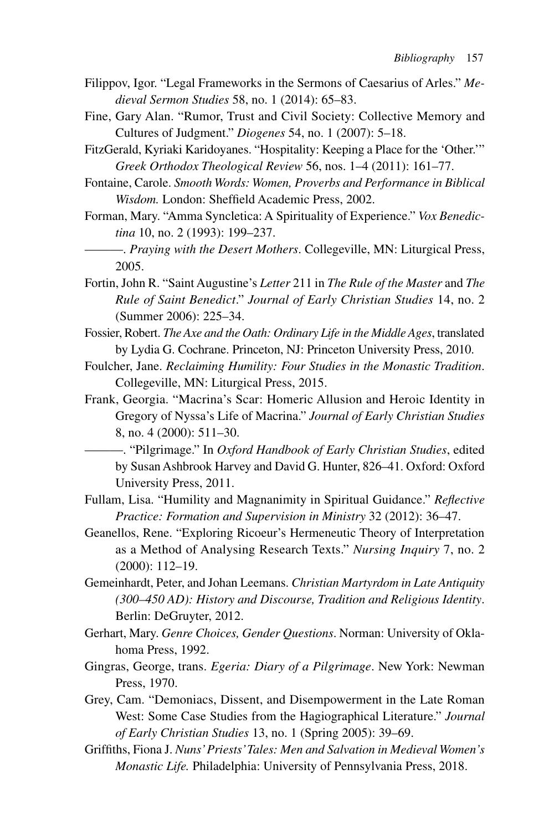- Filippov, Igor. "Legal Frameworks in the Sermons of Caesarius of Arles." *Medieval Sermon Studies* 58, no. 1 (2014): 65–83.
- Fine, Gary Alan. "Rumor, Trust and Civil Society: Collective Memory and Cultures of Judgment." *Diogenes* 54, no. 1 (2007): 5–18.
- FitzGerald, Kyriaki Karidoyanes. "Hospitality: Keeping a Place for the 'Other.'" *Greek Orthodox Theological Review* 56, nos. 1–4 (2011): 161–77.
- Fontaine, Carole. *Smooth Words: Women, Proverbs and Performance in Biblical Wisdom.* London: Sheffield Academic Press, 2002.
- Forman, Mary. "Amma Syncletica: A Spirituality of Experience." *Vox Benedictina* 10, no. 2 (1993): 199–237.
- ———. *Praying with the Desert Mothers*. Collegeville, MN: Liturgical Press, 2005.
- Fortin, John R. "Saint Augustine's *Letter* 211 in *The Rule of the Master* and *The Rule of Saint Benedict*." *Journal of Early Christian Studies* 14, no. 2 (Summer 2006): 225–34.
- Fossier, Robert. *The Axe and the Oath: Ordinary Life in the Middle Ages*, translated by Lydia G. Cochrane. Princeton, NJ: Princeton University Press, 2010.
- Foulcher, Jane. *Reclaiming Humility: Four Studies in the Monastic Tradition*. Collegeville, MN: Liturgical Press, 2015.
- Frank, Georgia. "Macrina's Scar: Homeric Allusion and Heroic Identity in Gregory of Nyssa's Life of Macrina." *Journal of Early Christian Studies* 8, no. 4 (2000): 511–30.
	- ———. "Pilgrimage." In *Oxford Handbook of Early Christian Studies*, edited by Susan Ashbrook Harvey and David G. Hunter, 826–41. Oxford: Oxford University Press, 2011.
- Fullam, Lisa. "Humility and Magnanimity in Spiritual Guidance." *Reflective Practice: Formation and Supervision in Ministry* 32 (2012): 36–47.
- Geanellos, Rene. "Exploring Ricoeur's Hermeneutic Theory of Interpretation as a Method of Analysing Research Texts." *Nursing Inquiry* 7, no. 2 (2000): 112–19.
- Gemeinhardt, Peter, and Johan Leemans. *Christian Martyrdom in Late Antiquity (300–450 AD): History and Discourse, Tradition and Religious Identity*. Berlin: DeGruyter, 2012.
- Gerhart, Mary. *Genre Choices, Gender Questions*. Norman: University of Oklahoma Press, 1992.
- Gingras, George, trans. *Egeria: Diary of a Pilgrimage*. New York: Newman Press, 1970.
- Grey, Cam. "Demoniacs, Dissent, and Disempowerment in the Late Roman West: Some Case Studies from the Hagiographical Literature." *Journal of Early Christian Studies* 13, no. 1 (Spring 2005): 39–69.
- Griffiths, Fiona J. *Nuns' Priests' Tales: Men and Salvation in Medieval Women's Monastic Life.* Philadelphia: University of Pennsylvania Press, 2018.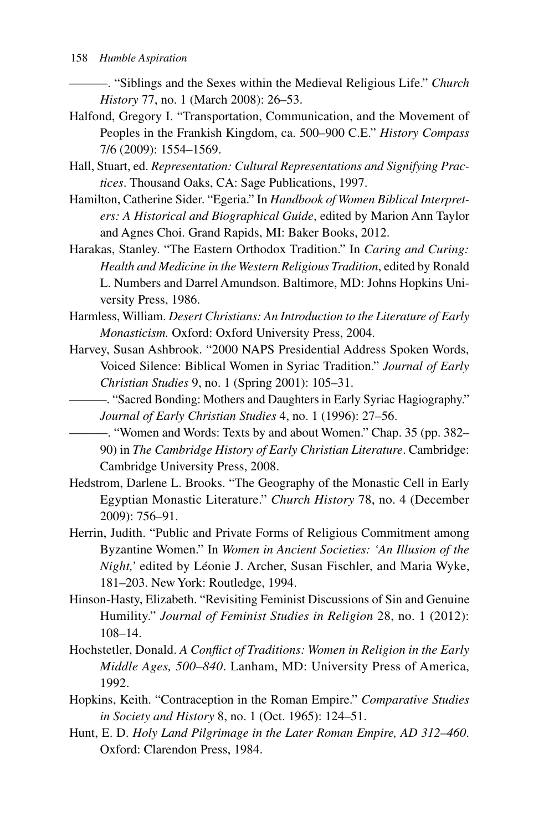———. "Siblings and the Sexes within the Medieval Religious Life." *Church History* 77, no. 1 (March 2008): 26–53.

- Halfond, Gregory I. "Transportation, Communication, and the Movement of Peoples in the Frankish Kingdom, ca. 500–900 C.E." *History Compass* 7/6 (2009): 1554–1569.
- Hall, Stuart, ed. *Representation: Cultural Representations and Signifying Practices*. Thousand Oaks, CA: Sage Publications, 1997.
- Hamilton, Catherine Sider. "Egeria." In *Handbook of Women Biblical Interpreters: A Historical and Biographical Guide*, edited by Marion Ann Taylor and Agnes Choi. Grand Rapids, MI: Baker Books, 2012.
- Harakas, Stanley. "The Eastern Orthodox Tradition." In *Caring and Curing: Health and Medicine in the Western Religious Tradition*, edited by Ronald L. Numbers and Darrel Amundson. Baltimore, MD: Johns Hopkins University Press, 1986.
- Harmless, William. *Desert Christians: An Introduction to the Literature of Early Monasticism.* Oxford: Oxford University Press, 2004.
- Harvey, Susan Ashbrook. "2000 NAPS Presidential Address Spoken Words, Voiced Silence: Biblical Women in Syriac Tradition." *Journal of Early Christian Studies* 9, no. 1 (Spring 2001): 105–31.
	- ———. "Sacred Bonding: Mothers and Daughters in Early Syriac Hagiography." *Journal of Early Christian Studies* 4, no. 1 (1996): 27–56.

———. "Women and Words: Texts by and about Women." Chap. 35 (pp. 382– 90) in *The Cambridge History of Early Christian Literature*. Cambridge: Cambridge University Press, 2008.

- Hedstrom, Darlene L. Brooks. "The Geography of the Monastic Cell in Early Egyptian Monastic Literature." *Church History* 78, no. 4 (December 2009): 756–91.
- Herrin, Judith. "Public and Private Forms of Religious Commitment among Byzantine Women." In *Women in Ancient Societies: 'An Illusion of the Night,'* edited by Léonie J. Archer, Susan Fischler, and Maria Wyke, 181–203. New York: Routledge, 1994.
- Hinson-Hasty, Elizabeth. "Revisiting Feminist Discussions of Sin and Genuine Humility." *Journal of Feminist Studies in Religion* 28, no. 1 (2012): 108–14.
- Hochstetler, Donald. *A Conflict of Traditions: Women in Religion in the Early Middle Ages, 500–840*. Lanham, MD: University Press of America, 1992.
- Hopkins, Keith. "Contraception in the Roman Empire." *Comparative Studies in Society and History* 8, no. 1 (Oct. 1965): 124–51.
- Hunt, E. D. *Holy Land Pilgrimage in the Later Roman Empire, AD 312–460*. Oxford: Clarendon Press, 1984.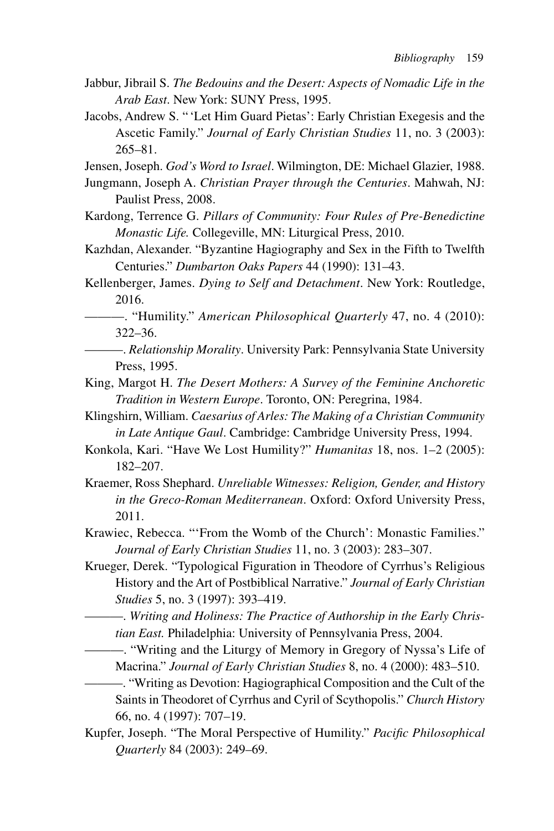- Jabbur, Jibrail S. *The Bedouins and the Desert: Aspects of Nomadic Life in the Arab East*. New York: SUNY Press, 1995.
- Jacobs, Andrew S. " 'Let Him Guard Pietas': Early Christian Exegesis and the Ascetic Family." *Journal of Early Christian Studies* 11, no. 3 (2003): 265–81.

Jensen, Joseph. *God's Word to Israel*. Wilmington, DE: Michael Glazier, 1988.

- Jungmann, Joseph A. *Christian Prayer through the Centuries*. Mahwah, NJ: Paulist Press, 2008.
- Kardong, Terrence G. *Pillars of Community: Four Rules of Pre-Benedictine Monastic Life.* Collegeville, MN: Liturgical Press, 2010.
- Kazhdan, Alexander. "Byzantine Hagiography and Sex in the Fifth to Twelfth Centuries." *Dumbarton Oaks Papers* 44 (1990): 131–43.
- Kellenberger, James. *Dying to Self and Detachment*. New York: Routledge, 2016.
- ———. "Humility." *American Philosophical Quarterly* 47, no. 4 (2010): 322–36.
- ———. *Relationship Morality*. University Park: Pennsylvania State University Press, 1995.
- King, Margot H. *The Desert Mothers: A Survey of the Feminine Anchoretic Tradition in Western Europe*. Toronto, ON: Peregrina, 1984.
- Klingshirn, William. *Caesarius of Arles: The Making of a Christian Community in Late Antique Gaul*. Cambridge: Cambridge University Press, 1994.
- Konkola, Kari. "Have We Lost Humility?" *Humanitas* 18, nos. 1–2 (2005): 182–207.
- Kraemer, Ross Shephard. *Unreliable Witnesses: Religion, Gender, and History in the Greco-Roman Mediterranean*. Oxford: Oxford University Press, 2011.
- Krawiec, Rebecca. "'From the Womb of the Church': Monastic Families." *Journal of Early Christian Studies* 11, no. 3 (2003): 283–307.
- Krueger, Derek. "Typological Figuration in Theodore of Cyrrhus's Religious History and the Art of Postbiblical Narrative." *Journal of Early Christian Studies* 5, no. 3 (1997): 393–419.
	- ———. *Writing and Holiness: The Practice of Authorship in the Early Christian East.* Philadelphia: University of Pennsylvania Press, 2004.
	- ———. "Writing and the Liturgy of Memory in Gregory of Nyssa's Life of Macrina." *Journal of Early Christian Studies* 8, no. 4 (2000): 483–510.
		- ———. "Writing as Devotion: Hagiographical Composition and the Cult of the Saints in Theodoret of Cyrrhus and Cyril of Scythopolis." *Church History* 66, no. 4 (1997): 707–19.
- Kupfer, Joseph. "The Moral Perspective of Humility." *Pacific Philosophical Quarterly* 84 (2003): 249–69.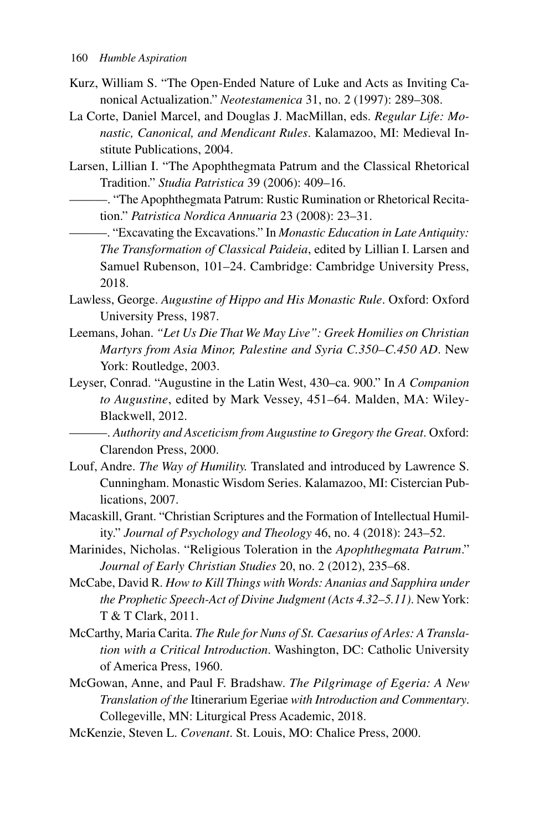- Kurz, William S. "The Open-Ended Nature of Luke and Acts as Inviting Canonical Actualization." *Neotestamenica* 31, no. 2 (1997): 289–308.
- La Corte, Daniel Marcel, and Douglas J. MacMillan, eds. *Regular Life: Monastic, Canonical, and Mendicant Rules*. Kalamazoo, MI: Medieval Institute Publications, 2004.
- Larsen, Lillian I. "The Apophthegmata Patrum and the Classical Rhetorical Tradition." *Studia Patristica* 39 (2006): 409–16.
	- ———. "The Apophthegmata Patrum: Rustic Rumination or Rhetorical Recitation." *Patristica Nordica Annuaria* 23 (2008): 23–31.
	- ———. "Excavating the Excavations." In *Monastic Education in Late Antiquity: The Transformation of Classical Paideia*, edited by Lillian I. Larsen and Samuel Rubenson, 101–24. Cambridge: Cambridge University Press, 2018.
- Lawless, George. *Augustine of Hippo and His Monastic Rule*. Oxford: Oxford University Press, 1987.
- Leemans, Johan. *"Let Us Die That We May Live": Greek Homilies on Christian Martyrs from Asia Minor, Palestine and Syria C.350–C.450 AD*. New York: Routledge, 2003.
- Leyser, Conrad. "Augustine in the Latin West, 430–ca. 900." In *A Companion to Augustine*, edited by Mark Vessey, 451–64. Malden, MA: Wiley-Blackwell, 2012.
	- ———. *Authority and Asceticism from Augustine to Gregory the Great*. Oxford: Clarendon Press, 2000.
- Louf, Andre. *The Way of Humility.* Translated and introduced by Lawrence S. Cunningham. Monastic Wisdom Series. Kalamazoo, MI: Cistercian Publications, 2007.
- Macaskill, Grant. "Christian Scriptures and the Formation of Intellectual Humility." *Journal of Psychology and Theology* 46, no. 4 (2018): 243–52.
- Marinides, Nicholas. "Religious Toleration in the *Apophthegmata Patrum*." *Journal of Early Christian Studies* 20, no. 2 (2012), 235–68.
- McCabe, David R. *How to Kill Things with Words: Ananias and Sapphira under the Prophetic Speech-Act of Divine Judgment (Acts 4.32–5.11)*. New York: T & T Clark, 2011.
- McCarthy, Maria Carita. *The Rule for Nuns of St. Caesarius of Arles: A Translation with a Critical Introduction*. Washington, DC: Catholic University of America Press, 1960.
- McGowan, Anne, and Paul F. Bradshaw. *The Pilgrimage of Egeria: A New Translation of the* Itinerarium Egeriae *with Introduction and Commentary*. Collegeville, MN: Liturgical Press Academic, 2018.
- McKenzie, Steven L. *Covenant*. St. Louis, MO: Chalice Press, 2000.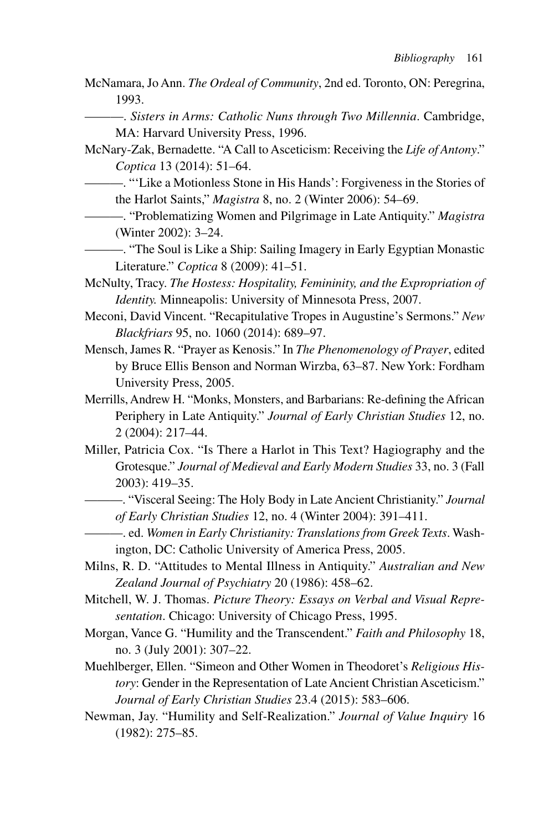- McNamara, Jo Ann. *The Ordeal of Community*, 2nd ed. Toronto, ON: Peregrina, 1993.
	- ———. *Sisters in Arms: Catholic Nuns through Two Millennia*. Cambridge, MA: Harvard University Press, 1996.
- McNary-Zak, Bernadette. "A Call to Asceticism: Receiving the *Life of Antony*." *Coptica* 13 (2014): 51–64.
	- ———. "'Like a Motionless Stone in His Hands': Forgiveness in the Stories of the Harlot Saints," *Magistra* 8, no. 2 (Winter 2006): 54–69.
	- ———. "Problematizing Women and Pilgrimage in Late Antiquity." *Magistra* (Winter 2002): 3–24.
	- ———. "The Soul is Like a Ship: Sailing Imagery in Early Egyptian Monastic Literature." *Coptica* 8 (2009): 41–51.
- McNulty, Tracy. *The Hostess: Hospitality, Femininity, and the Expropriation of Identity.* Minneapolis: University of Minnesota Press, 2007.
- Meconi, David Vincent. "Recapitulative Tropes in Augustine's Sermons." *New Blackfriars* 95, no. 1060 (2014): 689–97.
- Mensch, James R. "Prayer as Kenosis." In *The Phenomenology of Prayer*, edited by Bruce Ellis Benson and Norman Wirzba, 63–87. New York: Fordham University Press, 2005.
- Merrills, Andrew H. "Monks, Monsters, and Barbarians: Re-defining the African Periphery in Late Antiquity." *Journal of Early Christian Studies* 12, no. 2 (2004): 217–44.
- Miller, Patricia Cox. "Is There a Harlot in This Text? Hagiography and the Grotesque." *Journal of Medieval and Early Modern Studies* 33, no. 3 (Fall 2003): 419–35.
	- ———. "Visceral Seeing: The Holy Body in Late Ancient Christianity." *Journal of Early Christian Studies* 12, no. 4 (Winter 2004): 391–411.
	- ———. ed. *Women in Early Christianity: Translations from Greek Texts*. Washington, DC: Catholic University of America Press, 2005.
- Milns, R. D. "Attitudes to Mental Illness in Antiquity." *Australian and New Zealand Journal of Psychiatry* 20 (1986): 458–62.
- Mitchell, W. J. Thomas. *Picture Theory: Essays on Verbal and Visual Representation*. Chicago: University of Chicago Press, 1995.
- Morgan, Vance G. "Humility and the Transcendent." *Faith and Philosophy* 18, no. 3 (July 2001): 307–22.
- Muehlberger, Ellen. "Simeon and Other Women in Theodoret's *Religious History*: Gender in the Representation of Late Ancient Christian Asceticism." *Journal of Early Christian Studies* 23.4 (2015): 583–606.
- Newman, Jay. "Humility and Self-Realization." *Journal of Value Inquiry* 16 (1982): 275–85.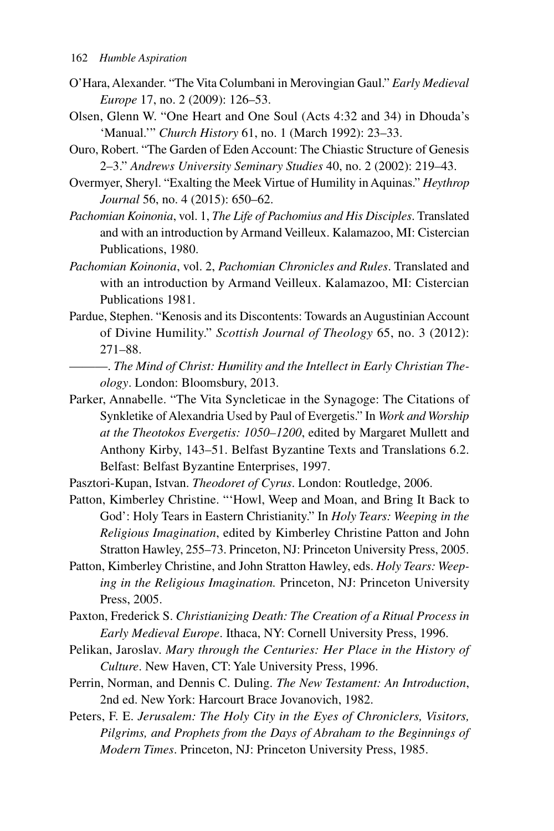- O'Hara, Alexander. "The Vita Columbani in Merovingian Gaul." *Early Medieval Europe* 17, no. 2 (2009): 126–53.
- Olsen, Glenn W. "One Heart and One Soul (Acts 4:32 and 34) in Dhouda's 'Manual.'" *Church History* 61, no. 1 (March 1992): 23–33.
- Ouro, Robert. "The Garden of Eden Account: The Chiastic Structure of Genesis 2–3." *Andrews University Seminary Studies* 40, no. 2 (2002): 219–43.
- Overmyer, Sheryl. "Exalting the Meek Virtue of Humility in Aquinas." *Heythrop Journal* 56, no. 4 (2015): 650–62.
- *Pachomian Koinonia*, vol. 1, *The Life of Pachomius and His Disciples*. Translated and with an introduction by Armand Veilleux. Kalamazoo, MI: Cistercian Publications, 1980.
- *Pachomian Koinonia*, vol. 2, *Pachomian Chronicles and Rules*. Translated and with an introduction by Armand Veilleux. Kalamazoo, MI: Cistercian Publications 1981.
- Pardue, Stephen. "Kenosis and its Discontents: Towards an Augustinian Account of Divine Humility." *Scottish Journal of Theology* 65, no. 3 (2012): 271–88.
- ———. *The Mind of Christ: Humility and the Intellect in Early Christian Theology*. London: Bloomsbury, 2013.
- Parker, Annabelle. "The Vita Syncleticae in the Synagoge: The Citations of Synkletike of Alexandria Used by Paul of Evergetis." In *Work and Worship at the Theotokos Evergetis: 1050–1200*, edited by Margaret Mullett and Anthony Kirby, 143–51. Belfast Byzantine Texts and Translations 6.2. Belfast: Belfast Byzantine Enterprises, 1997.
- Pasztori-Kupan, Istvan. *Theodoret of Cyrus*. London: Routledge, 2006.
- Patton, Kimberley Christine. "'Howl, Weep and Moan, and Bring It Back to God': Holy Tears in Eastern Christianity." In *Holy Tears: Weeping in the Religious Imagination*, edited by Kimberley Christine Patton and John Stratton Hawley, 255–73. Princeton, NJ: Princeton University Press, 2005.
- Patton, Kimberley Christine, and John Stratton Hawley, eds. *Holy Tears: Weeping in the Religious Imagination.* Princeton, NJ: Princeton University Press, 2005.
- Paxton, Frederick S. *Christianizing Death: The Creation of a Ritual Process in Early Medieval Europe*. Ithaca, NY: Cornell University Press, 1996.
- Pelikan, Jaroslav. *Mary through the Centuries: Her Place in the History of Culture*. New Haven, CT: Yale University Press, 1996.
- Perrin, Norman, and Dennis C. Duling. *The New Testament: An Introduction*, 2nd ed. New York: Harcourt Brace Jovanovich, 1982.
- Peters, F. E. *Jerusalem: The Holy City in the Eyes of Chroniclers, Visitors, Pilgrims, and Prophets from the Days of Abraham to the Beginnings of Modern Times*. Princeton, NJ: Princeton University Press, 1985.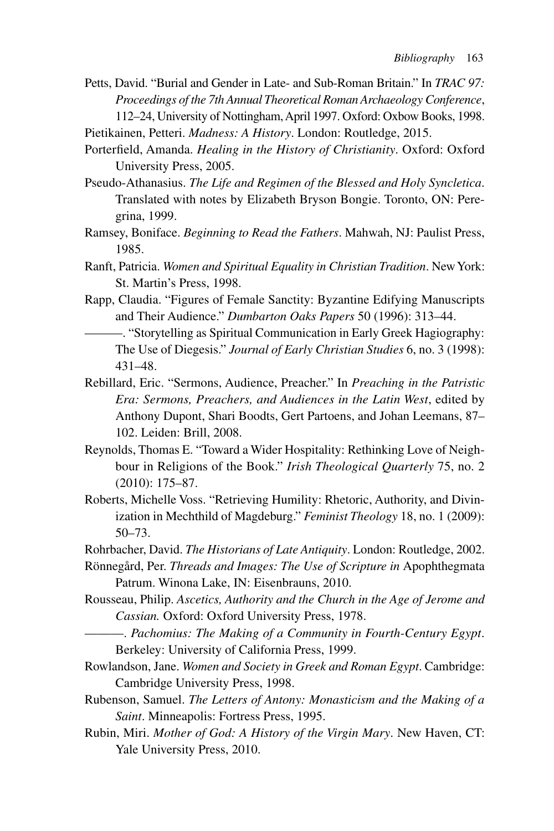Petts, David. "Burial and Gender in Late- and Sub-Roman Britain." In *TRAC 97: Proceedings of the 7th Annual Theoretical Roman Archaeology Conference*, 112–24, University of Nottingham, April 1997. Oxford: Oxbow Books, 1998.

Pietikainen, Petteri. *Madness: A History*. London: Routledge, 2015.

Porterfield, Amanda. *Healing in the History of Christianity*. Oxford: Oxford University Press, 2005.

- Pseudo-Athanasius. *The Life and Regimen of the Blessed and Holy Syncletica*. Translated with notes by Elizabeth Bryson Bongie. Toronto, ON: Peregrina, 1999.
- Ramsey, Boniface. *Beginning to Read the Fathers*. Mahwah, NJ: Paulist Press, 1985.
- Ranft, Patricia. *Women and Spiritual Equality in Christian Tradition*. New York: St. Martin's Press, 1998.
- Rapp, Claudia. "Figures of Female Sanctity: Byzantine Edifying Manuscripts and Their Audience." *Dumbarton Oaks Papers* 50 (1996): 313–44.
- ———. "Storytelling as Spiritual Communication in Early Greek Hagiography: The Use of Diegesis." *Journal of Early Christian Studies* 6, no. 3 (1998): 431–48.
- Rebillard, Eric. "Sermons, Audience, Preacher." In *Preaching in the Patristic Era: Sermons, Preachers, and Audiences in the Latin West*, edited by Anthony Dupont, Shari Boodts, Gert Partoens, and Johan Leemans, 87– 102. Leiden: Brill, 2008.
- Reynolds, Thomas E. "Toward a Wider Hospitality: Rethinking Love of Neighbour in Religions of the Book." *Irish Theological Quarterly* 75, no. 2 (2010): 175–87.
- Roberts, Michelle Voss. "Retrieving Humility: Rhetoric, Authority, and Divinization in Mechthild of Magdeburg." *Feminist Theology* 18, no. 1 (2009): 50–73.

Rohrbacher, David. *The Historians of Late Antiquity*. London: Routledge, 2002.

- Rönnegård, Per. *Threads and Images: The Use of Scripture in* Apophthegmata Patrum. Winona Lake, IN: Eisenbrauns, 2010.
- Rousseau, Philip. *Ascetics, Authority and the Church in the Age of Jerome and Cassian.* Oxford: Oxford University Press, 1978.
	- ———. *Pachomius: The Making of a Community in Fourth-Century Egypt*. Berkeley: University of California Press, 1999.
- Rowlandson, Jane. *Women and Society in Greek and Roman Egypt*. Cambridge: Cambridge University Press, 1998.
- Rubenson, Samuel. *The Letters of Antony: Monasticism and the Making of a Saint*. Minneapolis: Fortress Press, 1995.
- Rubin, Miri. *Mother of God: A History of the Virgin Mary*. New Haven, CT: Yale University Press, 2010.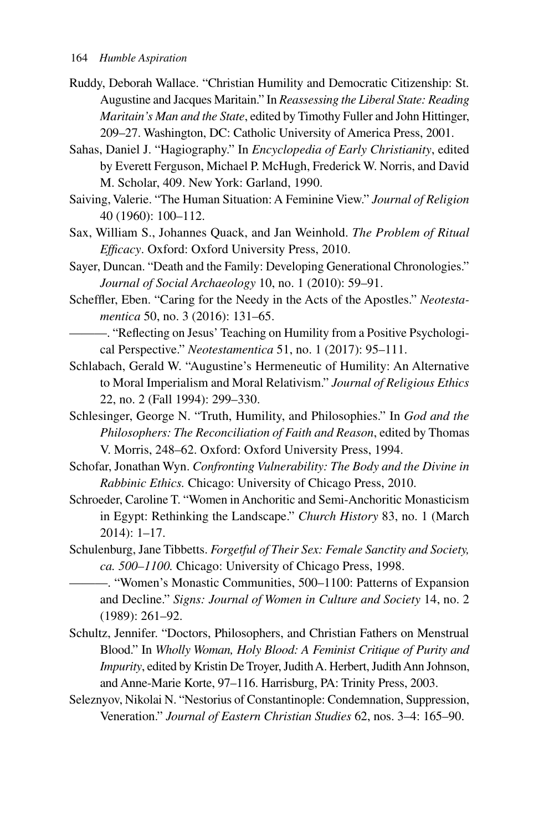- Ruddy, Deborah Wallace. "Christian Humility and Democratic Citizenship: St. Augustine and Jacques Maritain." In *Reassessing the Liberal State: Reading Maritain's Man and the State*, edited by Timothy Fuller and John Hittinger, 209–27. Washington, DC: Catholic University of America Press, 2001.
- Sahas, Daniel J. "Hagiography." In *Encyclopedia of Early Christianity*, edited by Everett Ferguson, Michael P. McHugh, Frederick W. Norris, and David M. Scholar, 409. New York: Garland, 1990.
- Saiving, Valerie. "The Human Situation: A Feminine View." *Journal of Religion*  40 (1960): 100–112.
- Sax, William S., Johannes Quack, and Jan Weinhold. *The Problem of Ritual Efficacy*. Oxford: Oxford University Press, 2010.
- Sayer, Duncan. "Death and the Family: Developing Generational Chronologies." *Journal of Social Archaeology* 10, no. 1 (2010): 59–91.
- Scheffler, Eben. "Caring for the Needy in the Acts of the Apostles." *Neotestamentica* 50, no. 3 (2016): 131–65.
- ———. "Reflecting on Jesus' Teaching on Humility from a Positive Psychological Perspective." *Neotestamentica* 51, no. 1 (2017): 95–111.
- Schlabach, Gerald W. "Augustine's Hermeneutic of Humility: An Alternative to Moral Imperialism and Moral Relativism." *Journal of Religious Ethics*  22, no. 2 (Fall 1994): 299–330.
- Schlesinger, George N. "Truth, Humility, and Philosophies." In *God and the Philosophers: The Reconciliation of Faith and Reason*, edited by Thomas V. Morris, 248–62. Oxford: Oxford University Press, 1994.
- Schofar, Jonathan Wyn. *Confronting Vulnerability: The Body and the Divine in Rabbinic Ethics.* Chicago: University of Chicago Press, 2010.
- Schroeder, Caroline T. "Women in Anchoritic and Semi-Anchoritic Monasticism in Egypt: Rethinking the Landscape." *Church History* 83, no. 1 (March 2014): 1–17.
- Schulenburg, Jane Tibbetts. *Forgetful of Their Sex: Female Sanctity and Society, ca. 500–1100.* Chicago: University of Chicago Press, 1998.
	- ———. "Women's Monastic Communities, 500–1100: Patterns of Expansion and Decline." *Signs: Journal of Women in Culture and Society* 14, no. 2 (1989): 261–92.
- Schultz, Jennifer. "Doctors, Philosophers, and Christian Fathers on Menstrual Blood." In *Wholly Woman, Holy Blood: A Feminist Critique of Purity and Impurity*, edited by Kristin De Troyer, Judith A. Herbert, Judith Ann Johnson, and Anne-Marie Korte, 97–116. Harrisburg, PA: Trinity Press, 2003.
- Seleznyov, Nikolai N. "Nestorius of Constantinople: Condemnation, Suppression, Veneration." *Journal of Eastern Christian Studies* 62, nos. 3–4: 165–90.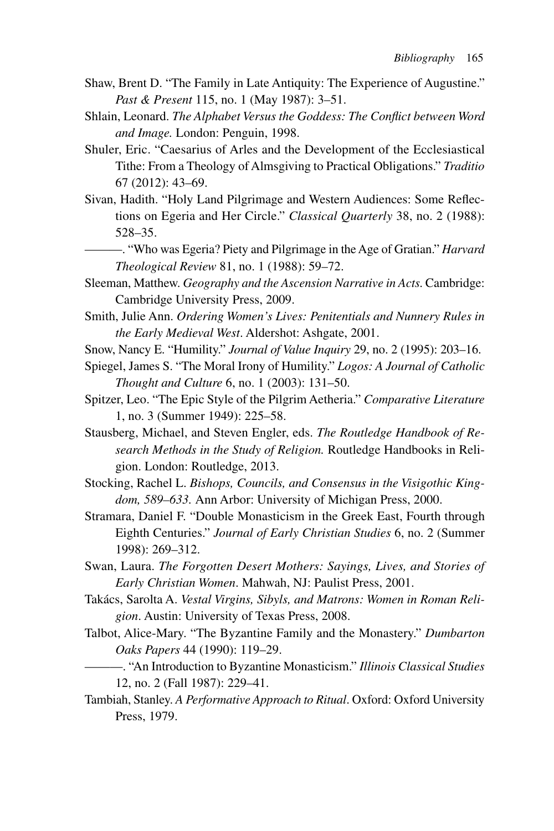- Shaw, Brent D. "The Family in Late Antiquity: The Experience of Augustine." *Past & Present* 115, no. 1 (May 1987): 3–51.
- Shlain, Leonard. *The Alphabet Versus the Goddess: The Conflict between Word and Image.* London: Penguin, 1998.
- Shuler, Eric. "Caesarius of Arles and the Development of the Ecclesiastical Tithe: From a Theology of Almsgiving to Practical Obligations." *Traditio* 67 (2012): 43–69.
- Sivan, Hadith. "Holy Land Pilgrimage and Western Audiences: Some Reflections on Egeria and Her Circle." *Classical Quarterly* 38, no. 2 (1988): 528–35.
- ———. "Who was Egeria? Piety and Pilgrimage in the Age of Gratian." *Harvard Theological Review* 81, no. 1 (1988): 59–72.
- Sleeman, Matthew. *Geography and the Ascension Narrative in Acts*. Cambridge: Cambridge University Press, 2009.
- Smith, Julie Ann. *Ordering Women's Lives: Penitentials and Nunnery Rules in the Early Medieval West*. Aldershot: Ashgate, 2001.
- Snow, Nancy E. "Humility." *Journal of Value Inquiry* 29, no. 2 (1995): 203–16.
- Spiegel, James S. "The Moral Irony of Humility." *Logos: A Journal of Catholic Thought and Culture* 6, no. 1 (2003): 131–50.
- Spitzer, Leo. "The Epic Style of the Pilgrim Aetheria." *Comparative Literature* 1, no. 3 (Summer 1949): 225–58.
- Stausberg, Michael, and Steven Engler, eds. *The Routledge Handbook of Research Methods in the Study of Religion.* Routledge Handbooks in Religion. London: Routledge, 2013.
- Stocking, Rachel L. *Bishops, Councils, and Consensus in the Visigothic Kingdom, 589–633.* Ann Arbor: University of Michigan Press, 2000.
- Stramara, Daniel F. "Double Monasticism in the Greek East, Fourth through Eighth Centuries." *Journal of Early Christian Studies* 6, no. 2 (Summer 1998): 269–312.
- Swan, Laura. *The Forgotten Desert Mothers: Sayings, Lives, and Stories of Early Christian Women*. Mahwah, NJ: Paulist Press, 2001.
- Takács, Sarolta A. *Vestal Virgins, Sibyls, and Matrons: Women in Roman Religion*. Austin: University of Texas Press, 2008.
- Talbot, Alice-Mary. "The Byzantine Family and the Monastery." *Dumbarton Oaks Papers* 44 (1990): 119–29.
	- ———. "An Introduction to Byzantine Monasticism." *Illinois Classical Studies* 12, no. 2 (Fall 1987): 229–41.
- Tambiah, Stanley. *A Performative Approach to Ritual*. Oxford: Oxford University Press, 1979.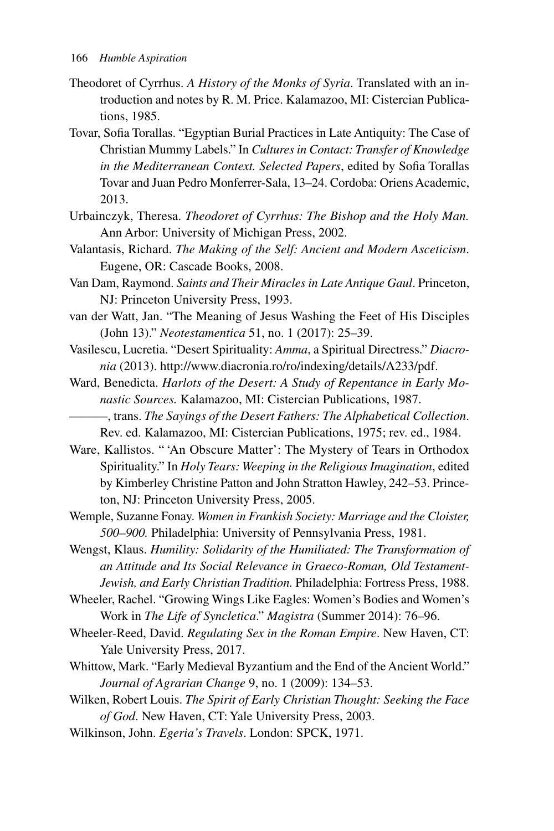- Theodoret of Cyrrhus. *A History of the Monks of Syria*. Translated with an introduction and notes by R. M. Price. Kalamazoo, MI: Cistercian Publications, 1985.
- Tovar, Sofia Torallas. "Egyptian Burial Practices in Late Antiquity: The Case of Christian Mummy Labels." In *Cultures in Contact: Transfer of Knowledge in the Mediterranean Context. Selected Papers*, edited by Sofia Torallas Tovar and Juan Pedro Monferrer-Sala, 13–24. Cordoba: Oriens Academic, 2013.
- Urbainczyk, Theresa. *Theodoret of Cyrrhus: The Bishop and the Holy Man.*  Ann Arbor: University of Michigan Press, 2002.
- Valantasis, Richard. *The Making of the Self: Ancient and Modern Asceticism*. Eugene, OR: Cascade Books, 2008.
- Van Dam, Raymond. *Saints and Their Miracles in Late Antique Gaul*. Princeton, NJ: Princeton University Press, 1993.
- van der Watt, Jan. "The Meaning of Jesus Washing the Feet of His Disciples (John 13)." *Neotestamentica* 51, no. 1 (2017): 25–39.
- Vasilescu, Lucretia. "Desert Spirituality: *Amma*, a Spiritual Directress." *Diacronia* (2013). http://www.diacronia.ro/ro/indexing/details/A233/pdf.
- Ward, Benedicta. *Harlots of the Desert: A Study of Repentance in Early Monastic Sources.* Kalamazoo, MI: Cistercian Publications, 1987.
	- ———, trans. *The Sayings of the Desert Fathers: The Alphabetical Collection*. Rev. ed. Kalamazoo, MI: Cistercian Publications, 1975; rev. ed., 1984.
- Ware, Kallistos. " 'An Obscure Matter': The Mystery of Tears in Orthodox Spirituality." In *Holy Tears: Weeping in the Religious Imagination*, edited by Kimberley Christine Patton and John Stratton Hawley, 242–53. Princeton, NJ: Princeton University Press, 2005.
- Wemple, Suzanne Fonay. *Women in Frankish Society: Marriage and the Cloister, 500–900.* Philadelphia: University of Pennsylvania Press, 1981.
- Wengst, Klaus. *Humility: Solidarity of the Humiliated: The Transformation of an Attitude and Its Social Relevance in Graeco-Roman, Old Testament-Jewish, and Early Christian Tradition.* Philadelphia: Fortress Press, 1988.
- Wheeler, Rachel. "Growing Wings Like Eagles: Women's Bodies and Women's Work in *The Life of Syncletica*." *Magistra* (Summer 2014): 76–96.
- Wheeler-Reed, David. *Regulating Sex in the Roman Empire*. New Haven, CT: Yale University Press, 2017.
- Whittow, Mark. "Early Medieval Byzantium and the End of the Ancient World." *Journal of Agrarian Change* 9, no. 1 (2009): 134–53.
- Wilken, Robert Louis. *The Spirit of Early Christian Thought: Seeking the Face of God*. New Haven, CT: Yale University Press, 2003.
- Wilkinson, John. *Egeria's Travels*. London: SPCK, 1971.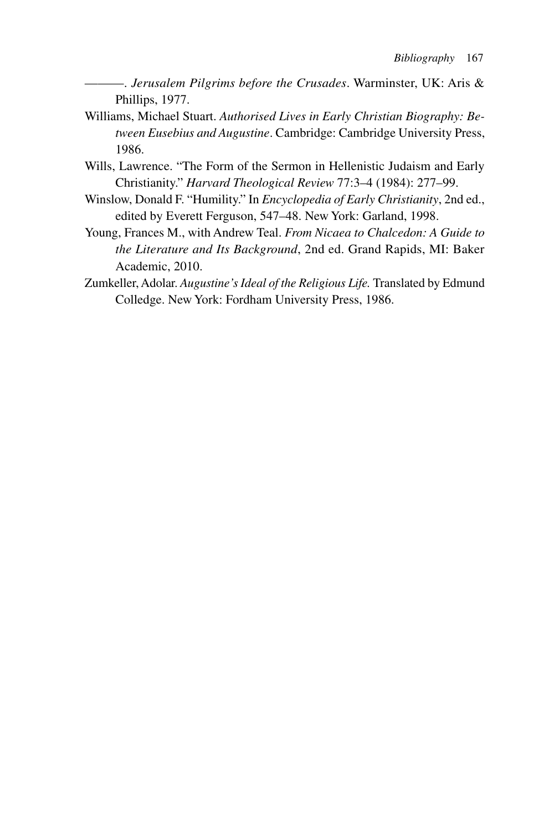- ———. *Jerusalem Pilgrims before the Crusades*. Warminster, UK: Aris & Phillips, 1977.
- Williams, Michael Stuart. *Authorised Lives in Early Christian Biography: Between Eusebius and Augustine*. Cambridge: Cambridge University Press, 1986.
- Wills, Lawrence. "The Form of the Sermon in Hellenistic Judaism and Early Christianity." *Harvard Theological Review* 77:3–4 (1984): 277–99.
- Winslow, Donald F. "Humility." In *Encyclopedia of Early Christianity*, 2nd ed., edited by Everett Ferguson, 547–48. New York: Garland, 1998.
- Young, Frances M., with Andrew Teal. *From Nicaea to Chalcedon: A Guide to the Literature and Its Background*, 2nd ed. Grand Rapids, MI: Baker Academic, 2010.
- Zumkeller, Adolar. *Augustine's Ideal of the Religious Life.* Translated by Edmund Colledge. New York: Fordham University Press, 1986.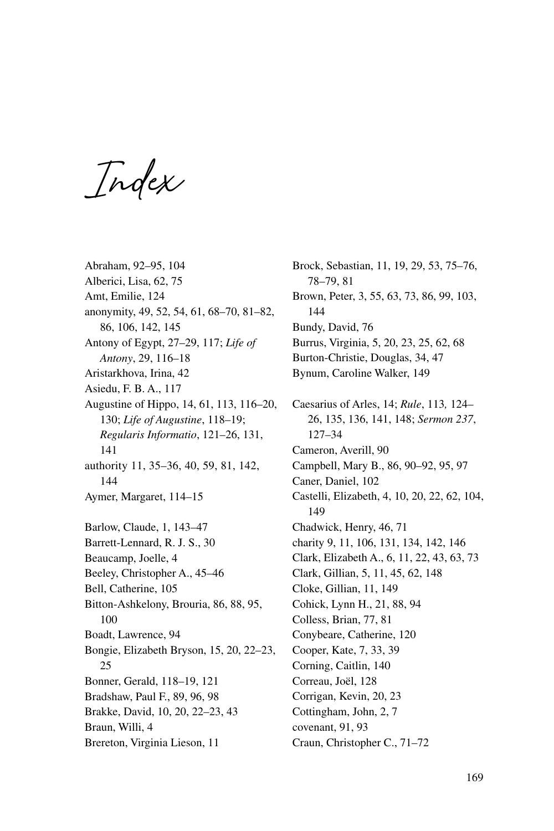**Index**

Abraham, 92–95, 104 Alberici, Lisa, 62, 75 Amt, Emilie, 124 anonymity, 49, 52, 54, 61, 68–70, 81–82, 86, 106, 142, 145 Antony of Egypt, 27–29, 117; *Life of Antony*, 29, 116–18 Aristarkhova, Irina, 42 Asiedu, F. B. A., 117 Augustine of Hippo, 14, 61, 113, 116–20, 130; *Life of Augustine*, 118–19; *Regularis Informatio*, 121–26, 131, 141 authority 11, 35–36, 40, 59, 81, 142, 144 Aymer, Margaret, 114–15 Barlow, Claude, 1, 143–47 Barrett-Lennard, R. J. S., 30 Beaucamp, Joelle, 4 Beeley, Christopher A., 45–46 Bell, Catherine, 105 Bitton-Ashkelony, Brouria, 86, 88, 95, 100 Boadt, Lawrence, 94 Bongie, Elizabeth Bryson, 15, 20, 22–23, 25 Bonner, Gerald, 118–19, 121 Bradshaw, Paul F., 89, 96, 98 Brakke, David, 10, 20, 22–23, 43 Braun, Willi, 4 Brereton, Virginia Lieson, 11

Brock, Sebastian, 11, 19, 29, 53, 75–76, 78–79, 81 Brown, Peter, 3, 55, 63, 73, 86, 99, 103, 144 Bundy, David, 76 Burrus, Virginia, 5, 20, 23, 25, 62, 68 Burton-Christie, Douglas, 34, 47 Bynum, Caroline Walker, 149 Caesarius of Arles, 14; *Rule*, 113*,* 124– 26, 135, 136, 141, 148; *Sermon 237*, 127–34 Cameron, Averill, 90 Campbell, Mary B., 86, 90–92, 95, 97 Caner, Daniel, 102 Castelli, Elizabeth, 4, 10, 20, 22, 62, 104, 149 Chadwick, Henry, 46, 71 charity 9, 11, 106, 131, 134, 142, 146 Clark, Elizabeth A., 6, 11, 22, 43, 63, 73 Clark, Gillian, 5, 11, 45, 62, 148 Cloke, Gillian, 11, 149 Cohick, Lynn H., 21, 88, 94 Colless, Brian, 77, 81 Conybeare, Catherine, 120 Cooper, Kate, 7, 33, 39 Corning, Caitlin, 140 Correau, Joël, 128 Corrigan, Kevin, 20, 23 Cottingham, John, 2, 7 covenant, 91, 93 Craun, Christopher C., 71–72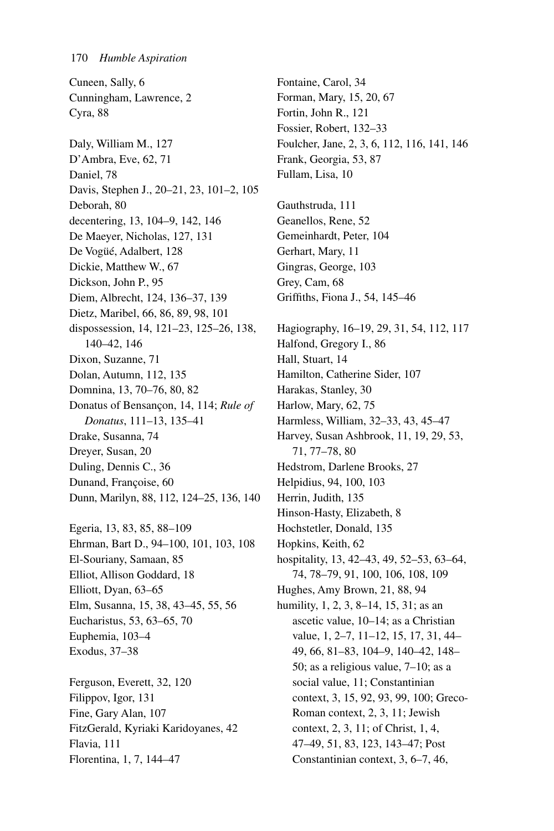Cuneen, Sally, 6 Cunningham, Lawrence, 2 Cyra, 88 Daly, William M., 127 D'Ambra, Eve, 62, 71 Daniel, 78 Davis, Stephen J., 20–21, 23, 101–2, 105 Deborah, 80 decentering, 13, 104–9, 142, 146 De Maeyer, Nicholas, 127, 131 De Vogüé, Adalbert, 128 Dickie, Matthew W., 67 Dickson, John P., 95 Diem, Albrecht, 124, 136–37, 139 Dietz, Maribel, 66, 86, 89, 98, 101 dispossession, 14, 121–23, 125–26, 138, 140–42, 146 Dixon, Suzanne, 71 Dolan, Autumn, 112, 135 Domnina, 13, 70–76, 80, 82 Donatus of Bensançon, 14, 114; *Rule of Donatus*, 111–13, 135–41 Drake, Susanna, 74 Dreyer, Susan, 20 Duling, Dennis C., 36 Dunand, Françoise, 60 Dunn, Marilyn, 88, 112, 124–25, 136, 140 Egeria, 13, 83, 85, 88–109

Ehrman, Bart D., 94–100, 101, 103, 108 El-Souriany, Samaan, 85 Elliot, Allison Goddard, 18 Elliott, Dyan, 63–65 Elm, Susanna, 15, 38, 43–45, 55, 56 Eucharistus, 53, 63–65, 70 Euphemia, 103–4 Exodus, 37–38

Ferguson, Everett, 32, 120 Filippov, Igor, 131 Fine, Gary Alan, 107 FitzGerald, Kyriaki Karidoyanes, 42 Flavia, 111 Florentina, 1, 7, 144–47

Fontaine, Carol, 34 Forman, Mary, 15, 20, 67 Fortin, John R., 121 Fossier, Robert, 132–33 Foulcher, Jane, 2, 3, 6, 112, 116, 141, 146 Frank, Georgia, 53, 87 Fullam, Lisa, 10

Gauthstruda, 111 Geanellos, Rene, 52 Gemeinhardt, Peter, 104 Gerhart, Mary, 11 Gingras, George, 103 Grey, Cam, 68 Griffiths, Fiona J., 54, 145–46

Hagiography, 16–19, 29, 31, 54, 112, 117 Halfond, Gregory I., 86 Hall, Stuart, 14 Hamilton, Catherine Sider, 107 Harakas, Stanley, 30 Harlow, Mary, 62, 75 Harmless, William, 32–33, 43, 45–47 Harvey, Susan Ashbrook, 11, 19, 29, 53, 71, 77–78, 80 Hedstrom, Darlene Brooks, 27 Helpidius, 94, 100, 103 Herrin, Judith, 135 Hinson-Hasty, Elizabeth, 8 Hochstetler, Donald, 135 Hopkins, Keith, 62 hospitality, 13, 42–43, 49, 52–53, 63–64, 74, 78–79, 91, 100, 106, 108, 109 Hughes, Amy Brown, 21, 88, 94 humility, 1, 2, 3, 8–14, 15, 31; as an ascetic value, 10–14; as a Christian value, 1, 2–7, 11–12, 15, 17, 31, 44– 49, 66, 81–83, 104–9, 140–42, 148– 50; as a religious value, 7–10; as a social value, 11; Constantinian context, 3, 15, 92, 93, 99, 100; Greco-Roman context, 2, 3, 11; Jewish context, 2, 3, 11; of Christ, 1, 4, 47–49, 51, 83, 123, 143–47; Post Constantinian context, 3, 6–7, 46,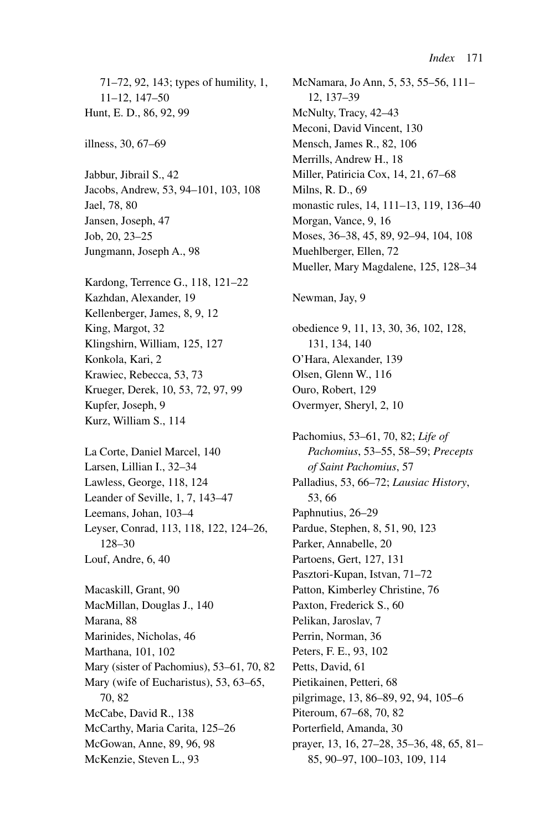71–72, 92, 143; types of humility, 1, 11–12, 147–50 Hunt, E. D., 86, 92, 99

illness, 30, 67–69

Jabbur, Jibrail S., 42 Jacobs, Andrew, 53, 94–101, 103, 108 Jael, 78, 80 Jansen, Joseph, 47 Job, 20, 23–25 Jungmann, Joseph A., 98

Kardong, Terrence G., 118, 121–22 Kazhdan, Alexander, 19 Kellenberger, James, 8, 9, 12 King, Margot, 32 Klingshirn, William, 125, 127 Konkola, Kari, 2 Krawiec, Rebecca, 53, 73 Krueger, Derek, 10, 53, 72, 97, 99 Kupfer, Joseph, 9 Kurz, William S., 114

La Corte, Daniel Marcel, 140 Larsen, Lillian I., 32–34 Lawless, George, 118, 124 Leander of Seville, 1, 7, 143–47 Leemans, Johan, 103–4 Leyser, Conrad, 113, 118, 122, 124–26, 128–30 Louf, Andre, 6, 40

Macaskill, Grant, 90 MacMillan, Douglas J., 140 Marana, 88 Marinides, Nicholas, 46 Marthana, 101, 102 Mary (sister of Pachomius), 53–61, 70, 82 Mary (wife of Eucharistus), 53, 63–65, 70, 82 McCabe, David R., 138 McCarthy, Maria Carita, 125–26 McGowan, Anne, 89, 96, 98 McKenzie, Steven L., 93

McNamara, Jo Ann, 5, 53, 55–56, 111– 12, 137–39 McNulty, Tracy, 42–43 Meconi, David Vincent, 130 Mensch, James R., 82, 106 Merrills, Andrew H., 18 Miller, Patiricia Cox, 14, 21, 67–68 Milns, R. D., 69 monastic rules, 14, 111–13, 119, 136–40 Morgan, Vance, 9, 16 Moses, 36–38, 45, 89, 92–94, 104, 108 Muehlberger, Ellen, 72 Mueller, Mary Magdalene, 125, 128–34

Newman, Jay, 9

obedience 9, 11, 13, 30, 36, 102, 128, 131, 134, 140 O'Hara, Alexander, 139 Olsen, Glenn W., 116 Ouro, Robert, 129 Overmyer, Sheryl, 2, 10

Pachomius, 53–61, 70, 82; *Life of Pachomius*, 53–55, 58–59; *Precepts of Saint Pachomius*, 57 Palladius, 53, 66–72; *Lausiac History*, 53, 66 Paphnutius, 26–29 Pardue, Stephen, 8, 51, 90, 123 Parker, Annabelle, 20 Partoens, Gert, 127, 131 Pasztori-Kupan, Istvan, 71–72 Patton, Kimberley Christine, 76 Paxton, Frederick S., 60 Pelikan, Jaroslav, 7 Perrin, Norman, 36 Peters, F. E., 93, 102 Petts, David, 61 Pietikainen, Petteri, 68 pilgrimage, 13, 86–89, 92, 94, 105–6 Piteroum, 67–68, 70, 82 Porterfield, Amanda, 30 prayer, 13, 16, 27–28, 35–36, 48, 65, 81– 85, 90–97, 100–103, 109, 114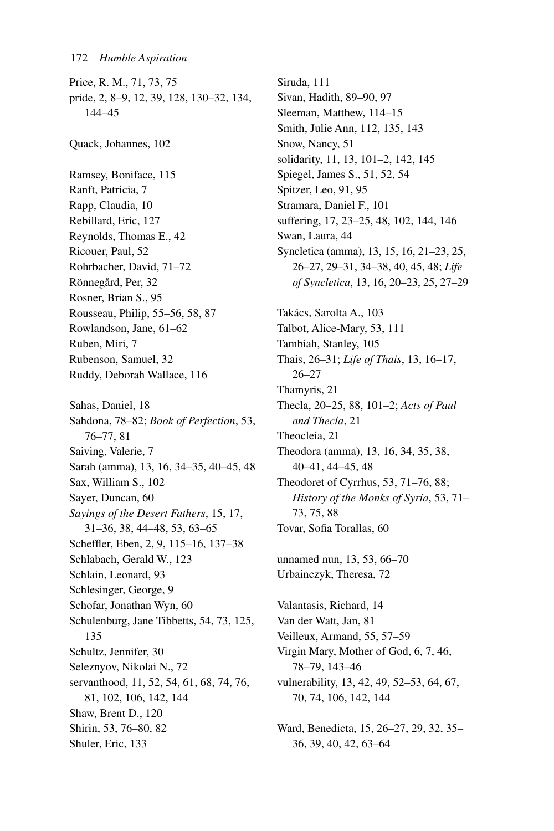Price, R. M., 71, 73, 75 pride, 2, 8–9, 12, 39, 128, 130–32, 134, 144–45 Quack, Johannes, 102 Ramsey, Boniface, 115 Ranft, Patricia, 7 Rapp, Claudia, 10 Rebillard, Eric, 127 Reynolds, Thomas E., 42 Ricouer, Paul, 52 Rohrbacher, David, 71–72 Rönnegård, Per, 32 Rosner, Brian S., 95 Rousseau, Philip, 55–56, 58, 87 Rowlandson, Jane, 61–62 Ruben, Miri, 7 Rubenson, Samuel, 32 Ruddy, Deborah Wallace, 116 Sahas, Daniel, 18 Sahdona, 78–82; *Book of Perfection*, 53, 76–77, 81 Saiving, Valerie, 7 Sarah (amma), 13, 16, 34–35, 40–45, 48 Sax, William S., 102 Sayer, Duncan, 60 *Sayings of the Desert Fathers*, 15, 17, 31–36, 38, 44–48, 53, 63–65 Scheffler, Eben, 2, 9, 115–16, 137–38 Schlabach, Gerald W., 123 Schlain, Leonard, 93 Schlesinger, George, 9 Schofar, Jonathan Wyn, 60 Schulenburg, Jane Tibbetts, 54, 73, 125, 135 Schultz, Jennifer, 30 Seleznyov, Nikolai N., 72 servanthood, 11, 52, 54, 61, 68, 74, 76, 81, 102, 106, 142, 144 Shaw, Brent D., 120 Shirin, 53, 76–80, 82 Shuler, Eric, 133

Siruda, 111 Sivan, Hadith, 89–90, 97 Sleeman, Matthew, 114–15 Smith, Julie Ann, 112, 135, 143 Snow, Nancy, 51 solidarity, 11, 13, 101–2, 142, 145 Spiegel, James S., 51, 52, 54 Spitzer, Leo, 91, 95 Stramara, Daniel F., 101 suffering, 17, 23–25, 48, 102, 144, 146 Swan, Laura, 44 Syncletica (amma), 13, 15, 16, 21–23, 25, 26–27, 29–31, 34–38, 40, 45, 48; *Life of Syncletica*, 13, 16, 20–23, 25, 27–29 Takács, Sarolta A., 103 Talbot, Alice-Mary, 53, 111 Tambiah, Stanley, 105 Thais, 26–31; *Life of Thais*, 13, 16–17, 26–27 Thamyris, 21 Thecla, 20–25, 88, 101–2; *Acts of Paul and Thecla*, 21 Theocleia, 21 Theodora (amma), 13, 16, 34, 35, 38, 40–41, 44–45, 48 Theodoret of Cyrrhus, 53, 71–76, 88; *History of the Monks of Syria*, 53, 71– 73, 75, 88 Tovar, Sofia Torallas, 60 unnamed nun, 13, 53, 66–70 Urbainczyk, Theresa, 72 Valantasis, Richard, 14 Van der Watt, Jan, 81 Veilleux, Armand, 55, 57–59 Virgin Mary, Mother of God, 6, 7, 46, 78–79, 143–46 vulnerability, 13, 42, 49, 52–53, 64, 67,

70, 74, 106, 142, 144

Ward, Benedicta, 15, 26–27, 29, 32, 35– 36, 39, 40, 42, 63–64